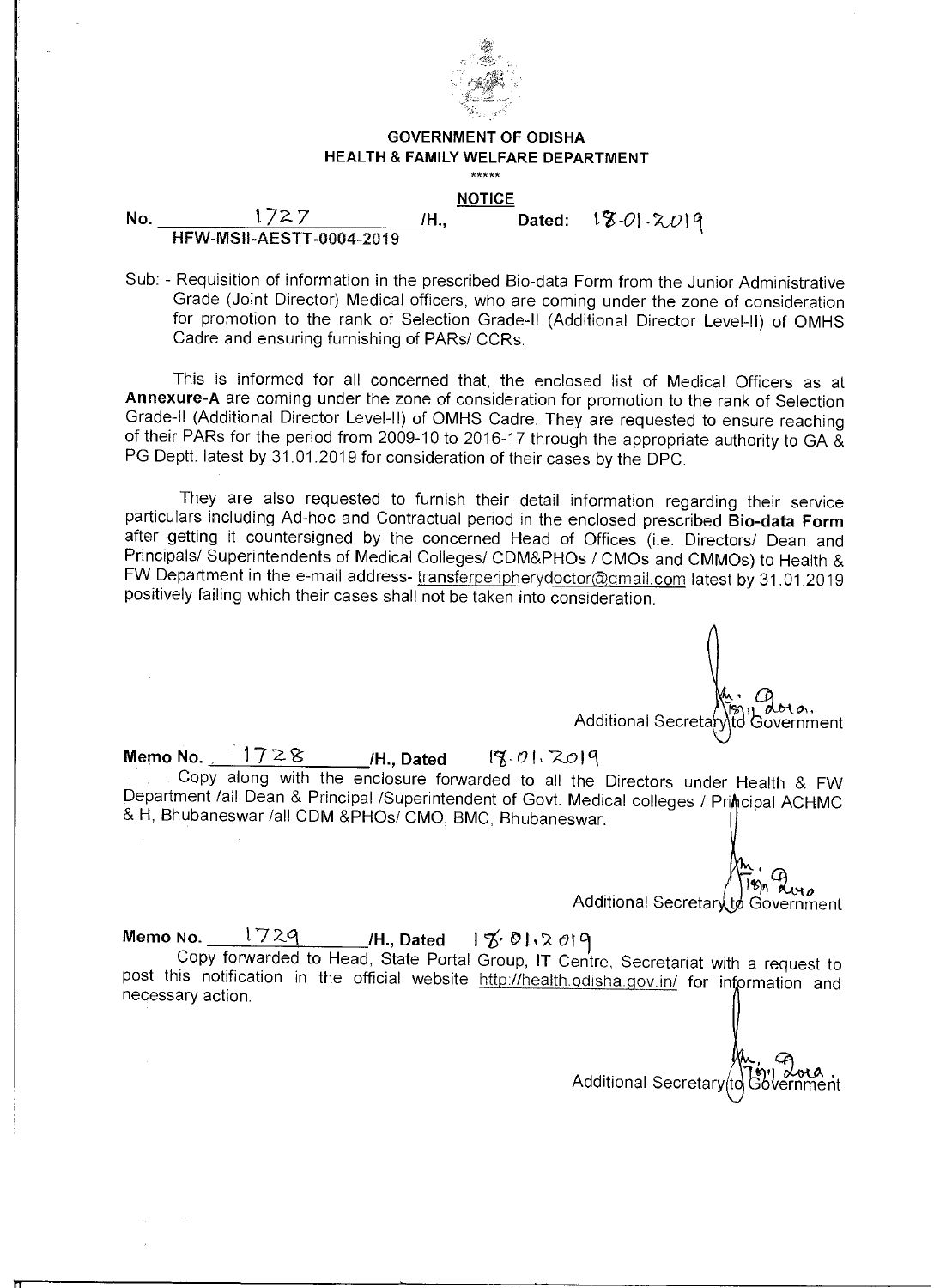

#### **GOVERNMENT OF ODISHA HEALTH & FAMILY WELFARE DEPARTMENT**  \*\*\*\*\*

**NOTICE** 

**No.** 1727 **/H., Dated:**  $\sqrt{8} \cdot 0 \cdot 2019$ **HFW-MSII-AESTT-0004-2019** 

Sub: - Requisition of information in the prescribed Bio-data Form from the Junior Administrative Grade (Joint Director) Medical officers, who are coming under the zone of consideration for promotion to the rank of Selection Grade-II (Additional Director Level-II) of OMHS Cadre and ensuring furnishing of PARs/ CCRs.

This is informed for all concerned that, the enclosed list of Medical Officers as at **Annexure-A** are coming under the zone of consideration for promotion to the rank of Selection Grade-II (Additional Director Level-II) of OMHS Cadre. They are requested to ensure reaching of their PARs for the period from 2009-10 to 2016-17 through the appropriate authority to GA & PG Deptt. latest by 31.01.2019 for consideration of their cases by the DPC.

They are also requested to furnish their detail information regarding their service particulars including Ad-hoc and Contractual period in the enclosed prescribed **Bio-data Form**  after getting it countersigned by the concerned Head of Offices (i.e. Directors/ Dean and Principals/ Superintendents of Medical Colleges/ CDM&PHOs / CMOs and CMMOs) to Health & FW Department in the e-mail address- transferperipherydoctor@gmail.com latest by 31.01.2019 positively failing which their cases shall not be taken into consideration.

اس دی)<br>Additional Secretaryto Government

**Memo No.** 1728 H., Dated 18 01. 2019

Copy along with the enclosure forwarded to all the Directors under Health & FW Department /all Dean & Principal /Superintendent of Govt. Medical colleges / Principal ACHMC & H, Bhubaneswar /all CDM &PHOs/ CMO, BMC, Bhubaneswar.

> $8n$  dues Additional Secretary to Government

**Memo No.** 1729 I tt• ii2011

111

Copy forwarded to Head, State Portal Group, IT Centre, Secretariat with a request to post this notification in the official website http://health.odisha.gov.in/ for information and necessary action.

Additional Secretary (to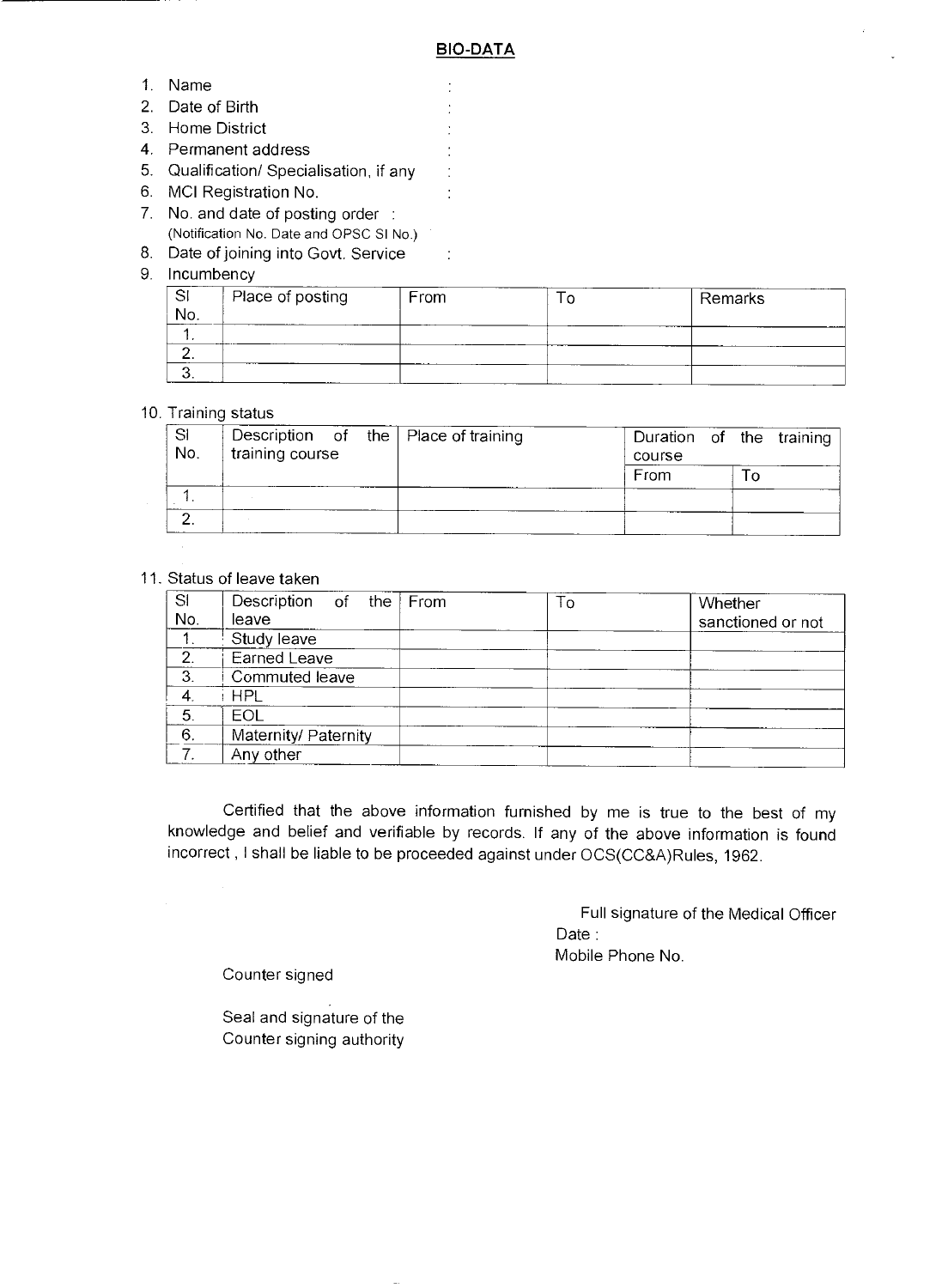$\ddot{\cdot}$  $\frac{1}{2}$  $\ddot{\cdot}$  $\frac{1}{2}$  $\frac{1}{2}$ ÷

 $\ddot{\cdot}$ 

- 1. Name
- 2. Date of Birth
- 3. Home District
- 4. Permanent address
- 5. Qualification/ Specialisation, if any
- 6. MCI Registration No.
- 7. No. and date of posting order : (Notification No. Date and OPSC SI No.)
- 8. Date of joining into Govt. Service
- 9. Incumbency

|     | Place of posting | From | Remarks |
|-----|------------------|------|---------|
| No. |                  |      |         |
|     |                  |      |         |
|     |                  |      |         |
|     |                  |      |         |

#### 10. Training status

| -SI<br>No. | training course |  | Description of the $\vert$ Place of training | Duration of the training<br>course |  |  |
|------------|-----------------|--|----------------------------------------------|------------------------------------|--|--|
|            |                 |  |                                              | From                               |  |  |
|            |                 |  |                                              |                                    |  |  |
| $\sim$     |                 |  |                                              |                                    |  |  |
|            |                 |  |                                              |                                    |  |  |

### 11. Status of leave taken

| SI<br>No.      | Description of the From | To | Whether           |
|----------------|-------------------------|----|-------------------|
|                | leave                   |    | sanctioned or not |
| 1 <sub>1</sub> | Study leave             |    |                   |
| 2.             | Earned Leave            |    |                   |
| $\mathbf{3}$   | Commuted leave          |    |                   |
| 4              | <b>HPL</b>              |    |                   |
| 5.             | EOL                     |    |                   |
| 6.             | Maternity/ Paternity    |    |                   |
| 7.             | Any other               |    |                   |

Certified that the above information furnished by me is true to the best of my knowledge and belief and verifiable by records. If any of the above information is found incorrect , I shall be liable to be proceeded against under OCS(CC&A)Rules, 1962.

> Full signature of the Medical Officer Date : Mobile Phone No.

Counter signed

Seal and signature of the Counter signing authority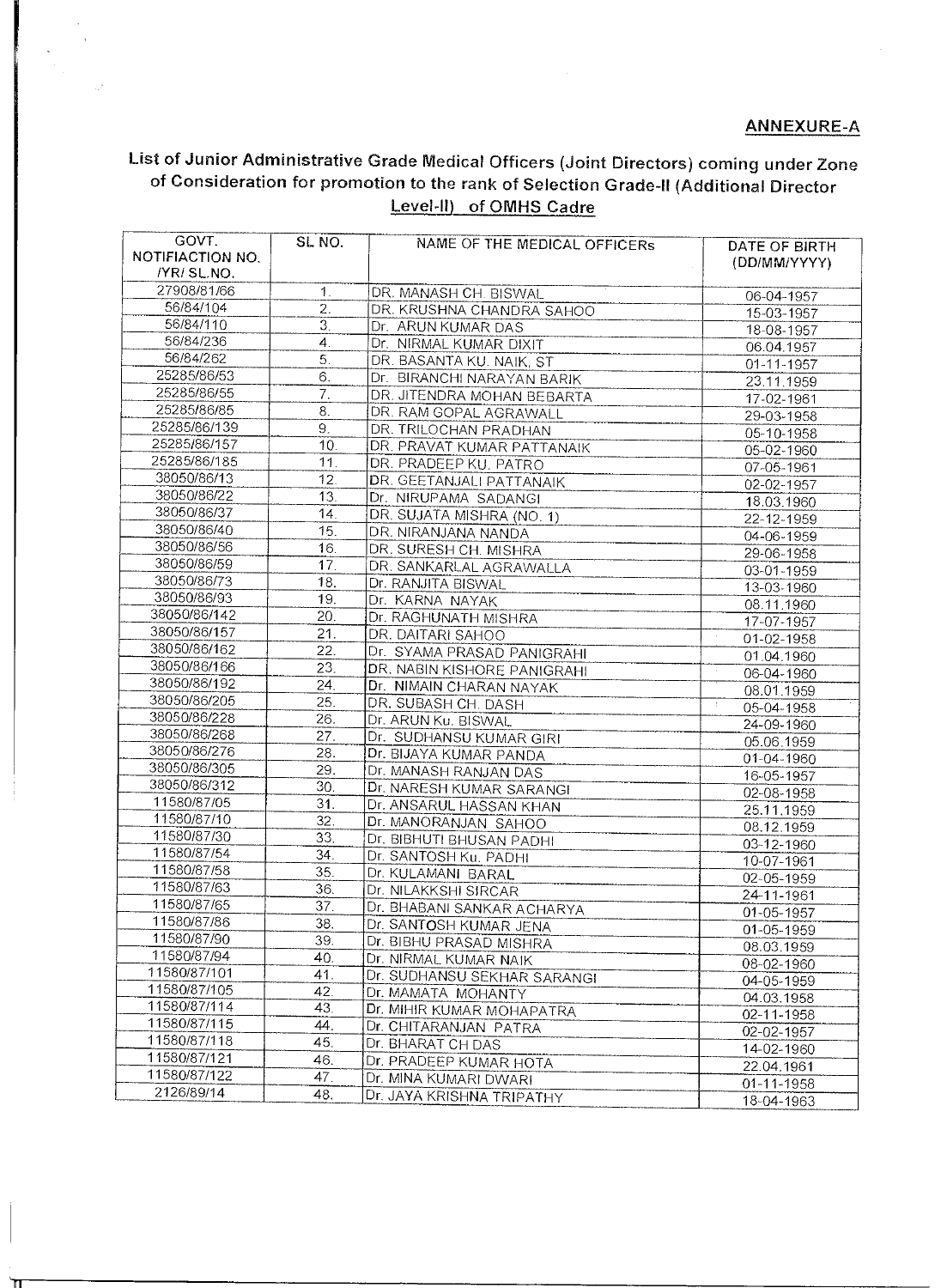## ANNEXURE-A

# List of Junior Administrative Grade Medical Officers (Joint Directors) coming under Zone of Consideration for promotion to the rank of Selection Grade-II (Additional Director Level-II) of OMHS Cadre

| GOVT.                          | SL NO.           | NAME OF THE MEDICAL OFFICERS                       | DATE OF BIRTH           |
|--------------------------------|------------------|----------------------------------------------------|-------------------------|
| NOTIFIACTION NO.<br>/YR/SL.NO. |                  |                                                    | (DD/MM/YYYY)            |
| 27908/81/66                    | $\mathbf{1}$ .   |                                                    |                         |
| 56/84/104                      | 2.               | DR. MANASH CH. BISWAL                              | 06-04-1957              |
| 56/84/110                      | $\overline{3}$ . | DR. KRUSHNA CHANDRA SAHOO                          | 15-03-1957              |
| 56/84/236                      | 4 <sub>1</sub>   | Dr. ARUN KUMAR DAS                                 | 18-08-1957              |
| 56/84/262                      | 5.               | Dr. NIRMAL KUMAR DIXIT                             | 06.04.1957              |
| 25285/86/53                    | 6.               | DR. BASANTA KU. NAIK, ST                           | 01-11-1957              |
| 25285/86/55                    | 7.               | Dr. BIRANCHI NARAYAN BARIK                         | 23.11.1959              |
| 25285/86/85                    | 8.               | DR. JITENDRA MOHAN BEBARTA                         | 17-02-1961              |
| 25285/86/139                   | 9.               | DR. RAM GOPAL AGRAWALL                             | 29-03-1958              |
| 25285/86/157                   | 10.              | DR. TRILOCHAN PRADHAN                              | 05-10-1958              |
| 25285/86/185                   | 11.              | DR. PRAVAT KUMAR PATTANAIK                         | 05-02-1960              |
| 38050/86/13                    | 12.              | DR. PRADEEP KU, PATRO                              | 07-05-1961              |
| 38050/86/22                    | 13.              | DR. GEETANJALI PATTANAIK                           | 02-02-1957              |
| 38050/86/37                    | 14.              | Dr. NIRUPAMA SADANGI                               | 18.03.1960              |
| 38050/86/40                    | 15.              | DR. SUJATA MISHRA (NO. 1)                          | 22-12-1959              |
| 38050/86/56                    |                  | DR. NIRANJANA NANDA                                | 04-06-1959              |
| 38050/86/59                    | 16.<br>17.       | DR. SURESH CH. MISHRA                              | 29-06-1958              |
| 38050/86/73                    | 18.              | DR. SANKARLAL AGRAWALLA                            | 03-01-1959              |
| 38050/86/93                    | 19.              | Dr. RANJITA BISWAL                                 | 13-03-1960              |
| 38050/86/142                   | 20.              | Dr. KARNA NAYAK                                    | 08.11.1960              |
| 38050/86/157                   |                  | Dr. RAGHUNATH MISHRA                               | 17-07-1957              |
| 38050/86/162                   | 21.<br>22.       | DR. DAITARI SAHOO                                  | $\bar{z}$<br>01-02-1958 |
| 38050/86/166                   | 23.              | Dr. SYAMA PRASAD PANIGRAHI                         | 01.04.1960              |
| 38050/86/192                   | 24.              | DR. NABIN KISHORE PANIGRAHI                        | 06-04-1960              |
| 38050/86/205                   | 25.              | Dr. NIMAIN CHARAN NAYAK                            | 08.01.1959              |
| 38050/86/228                   | 26.              | DR. SUBASH CH. DASH                                | 05-04-1958              |
| 38050/86/268                   | 27.              | Dr. ARUN Ku. BISWAL                                | 24-09-1960              |
| 38050/86/276                   | 28.              | Dr. SUDHANSU KUMAR GIRI<br>Dr. BIJAYA KUMAR PANDA  | 05.06.1959              |
| 38050/86/305                   | 29.              |                                                    | 01-04-1960              |
| 38050/86/312                   | 30.              | Dr. MANASH RANJAN DAS                              | 16-05-1957              |
| 11580/87/05                    | 31.              | Dr. NARESH KUMAR SARANGI                           | 02-08-1958              |
| 11580/87/10                    | 32.              | Dr. ANSARUL HASSAN KHAN<br>Dr. MANORANJAN SAHOO    | 25.11.1959              |
| 11580/87/30                    | 33.              | Dr. BIBHUTI BHUSAN PADHI                           | 08.12.1959              |
| 11580/87/54                    | 34.              | Dr. SANTOSH Ku. PADHI                              | 03-12-1960              |
| 11580/87/58                    | 35.              | Dr. KULAMANI BARAL                                 | 10-07-1961              |
| 11580/87/63                    | 36.              | Dr. NILAKKSHI SIRCAR                               | 02-05-1959              |
| 11580/87/65                    | 37.              | Dr. BHABANI SANKAR ACHARYA                         | 24-11-1961              |
| 11580/87/86                    | 38.              | Dr. SANTOSH KUMAR JENA                             | 01-05-1957              |
| 11580/87/90                    | 39.              | Dr. BIBHU PRASAD MISHRA                            | 01-05-1959              |
| 11580/87/94                    | 40.              |                                                    | 08.03.1959              |
| 11580/87/101                   | 41.              | Dr. NIRMAL KUMAR NAIK                              | 08-02-1960              |
| 11580/87/105                   | 42.              | Dr. SUDHANSU SEKHAR SARANGI<br>Dr. MAMATA MOHANTY  | 04-05-1959              |
| 11580/87/114                   | 43.              |                                                    | 04.03.1958              |
| 11580/87/115                   | 44.              | Dr. MIHIR KUMAR MOHAPATRA<br>Dr. CHITARANJAN PATRA | 02-11-1958              |
| 11580/87/118                   | 45.              | Dr. BHARAT CH DAS                                  | 02-02-1957              |
| 11580/87/121                   | 46.              | Dr. PRADEEP KUMAR HOTA                             | 14-02-1960              |
| 11580/87/122                   | 47.              | Dr. MINA KUMARI DWARI                              | 22.04.1961              |
| 2126/89/14                     | 48.              |                                                    | 01-11-1958              |
|                                |                  | Dr. JAYA KRISHNA TRIPATHY                          | 18-04-1963              |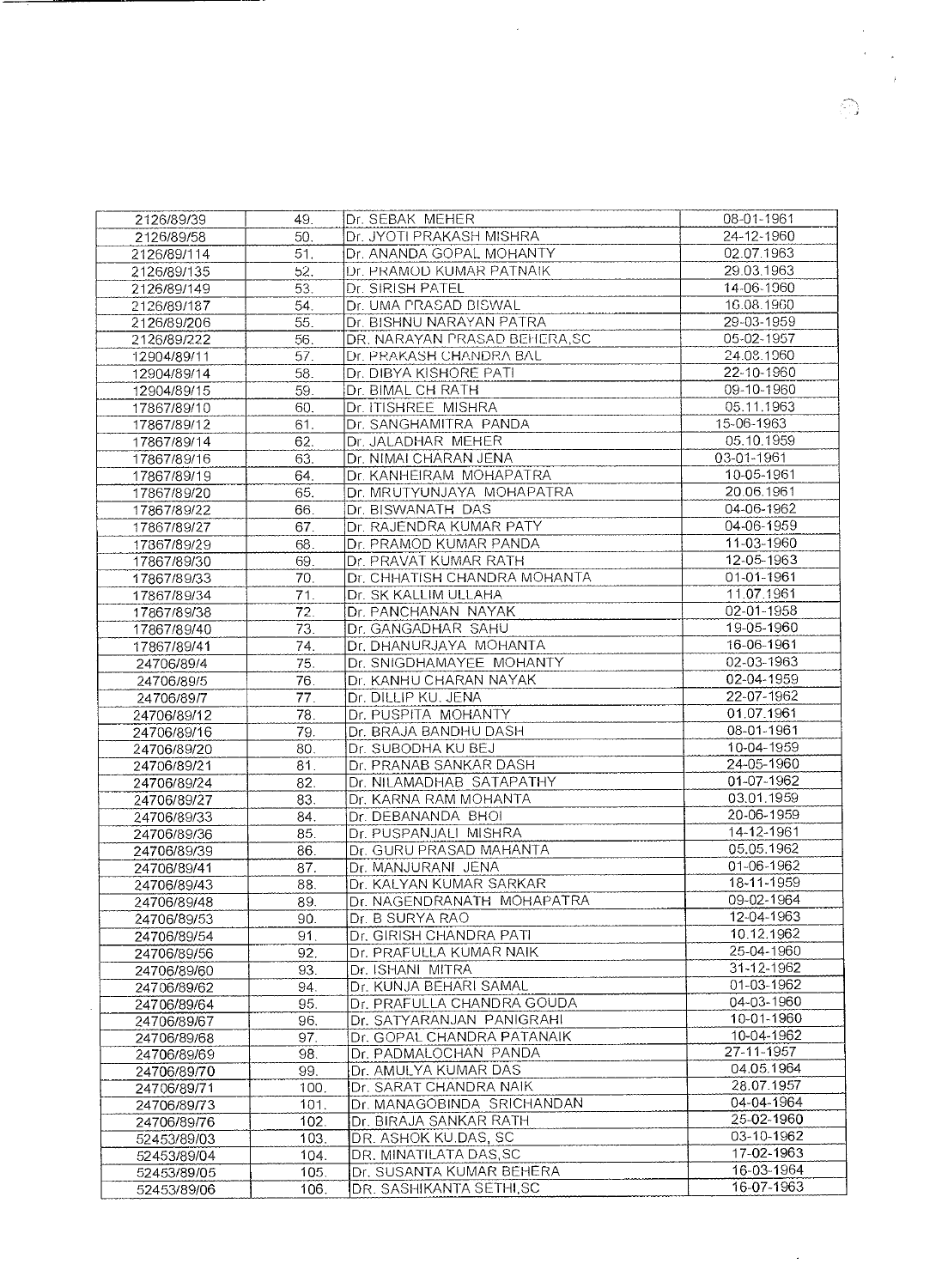| 2126/89/39                 | 49.        | Dr. SEBAK MEHER               | 08-01-1961               |
|----------------------------|------------|-------------------------------|--------------------------|
| 2126/89/58                 | 50.        | Dr. JYOTI PRAKASH MISHRA      | 24-12-1960               |
| 2126/89/114                | 51.        | Dr. ANANDA GOPAL MOHANTY      | 02.07.1963               |
| 2126/89/135                | 52.        | Dr. PRAMOD KUMAR PATNAIK      | 29.03.1963               |
| 2126/89/149                | 53.        | Dr. SIRISH PATEL              | 14-06-1960               |
| 2126/89/187                | 54.        | Dr. UMA PRASAD BISWAL         | 16.08.1960               |
| 2126/89/206                | 55.        | Dr. BISHNU NARAYAN PATRA      | 29-03-1959               |
| 2126/89/222                | 56.        | DR. NARAYAN PRASAD BEHERA, SC | 05-02-1957               |
| 12904/89/11                | 57.        | Dr. PRAKASH CHANDRA BAL       | 24.08.1960               |
| 12904/89/14                | 58.        | Dr. DIBYA KISHORE PATI        | 22-10-1960               |
| 12904/89/15                | 59.        | Dr. BIMAL CH RATH             | 09-10-1960               |
| 17867/89/10                | 60.        | Dr. ITISHREE MISHRA           | 05.11.1963               |
| 17867/89/12                | 61.        | Dr. SANGHAMITRA PANDA         | 15-06-1963               |
| 17867/89/14                | 62.        | Dr. JALADHAR MEHER            | 05.10.1959               |
| 17867/89/16                | 63.        | Dr. NIMAI CHARAN JENA         | 03-01-1961               |
| 17867/89/19                | 64.        | Dr. KANHEIRAM MOHAPATRA       | 10-05-1961               |
| 17867/89/20                | 65.        | Dr. MRUTYUNJAYA MOHAPATRA     | 20.06.1961               |
| 17867/89/22                | 66.        | Dr. BISWANATH DAS             | 04-06-1962               |
| 17867/89/27                | 67.        | Dr. RAJENDRA KUMAR PATY       | 04-06-1959               |
| 17867/89/29                | 68.        | Dr. PRAMOD KUMAR PANDA        | 11-03-1960               |
|                            |            | Dr. PRAVAT KUMAR RATH         | 12-05-1963               |
| 17867/89/30                | 69.<br>70. | Dr. CHHATISH CHANDRA MOHANTA  | 01-01-1961               |
| 17867/89/33<br>17867/89/34 | 71.        | Dr. SK KALLIM ULLAHA          | 11.07.1961               |
|                            | 72.        | Dr. PANCHANAN NAYAK           | 02-01-1958               |
| 17867/89/38                | 73.        | Dr. GANGADHAR SAHU            | 19-05-1960               |
| 17867/89/40                |            | Dr. DHANURJAYA MOHANTA        | 16-06-1961               |
| 17867/89/41                | 74.        |                               | 02-03-1963               |
| 24706/89/4                 | 75.        | Dr. SNIGDHAMAYEE MOHANTY      | 02-04-1959               |
| 24706/89/5                 | 76.        | Dr. KANHU CHARAN NAYAK        |                          |
| 24706/89/7                 | 77.        | Dr. DILLIP KU. JENA           | 22-07-1962               |
| 24706/89/12                | 78.        | Dr. PUSPITA MOHANTY           | 01.07.1961               |
| 24706/89/16                | 79.        | Dr. BRAJA BANDHU DASH         | 08-01-1961               |
| 24706/89/20                | 80.        | Dr. SUBODHA KU BEJ            | 10-04-1959<br>24-05-1960 |
| 24706/89/21                | 81.        | Dr. PRANAB SANKAR DASH        |                          |
| 24706/89/24                | 82.        | Dr. NILAMADHAB SATAPATHY      | 01-07-1962               |
| 24706/89/27                | 83.        | Dr. KARNA RAM MOHANTA         | 03.01.1959               |
| 24706/89/33                | 84.        | Dr. DEBANANDA BHOI            | 20-06-1959               |
| 24706/89/36                | 85.        | Dr. PUSPANJALI MISHRA         | 14-12-1961               |
| 24706/89/39                | 86.        | Dr. GURU PRASAD MAHANTA       | 05.05.1962               |
| 24706/89/41                | 87.        | Dr. MANJURANI JENA            | 01-06-1962               |
| 24706/89/43                | 88.        | Dr. KALYAN KUMAR SARKAR       | 18-11-1959               |
| 24706/89/48                | 89.        | Dr. NAGENDRANATH MOHAPATRA    | 09-02-1964               |
| 24706/89/53                | 90.        | Dr. B SURYA RAO               | 12-04-1963               |
| 24706/89/54                | 91.        | Dr. GIRISH CHANDRA PATI       | 10.12.1962               |
| 24706/89/56                | 92.        | Dr. PRAFULLA KUMAR NAIK       | 25-04-1960               |
| 24706/89/60                | 93.        | Dr. ISHANI MITRA              | 31-12-1962               |
| 24706/89/62                | 94.        | Dr. KUNJA BEHARI SAMAL        | 01-03-1962               |
| 24706/89/64                | 95.        | Dr. PRAFULLA CHANDRA GOUDA    | 04-03-1960               |
| 24706/89/67                | 96.        | Dr. SATYARANJAN PANIGRAHI     | 10-01-1960               |
| 24706/89/68                | 97.        | Dr. GOPAL CHANDRA PATANAIK    | 10-04-1962               |
| 24706/89/69                | 98.        | Dr. PADMALOCHAN PANDA         | 27-11-1957               |
| 24706/89/70                | 99.        | Dr. AMULYA KUMAR DAS          | 04.05.1964               |
| 24706/89/71                | 100.       | Dr. SARAT CHANDRA NAIK        | 28.07.1957               |
| 24706/89/73                | 101.       | Dr. MANAGOBINDA SRICHANDAN    | 04-04-1964               |
| 24706/89/76                | 102.       | Dr. BIRAJA SANKAR RATH        | 25-02-1960               |
| 52453/89/03                | 103.       | DR. ASHOK KU.DAS, SC          | 03-10-1962               |
| 52453/89/04                | 104.       | DR. MINATILATA DAS, SC        | 17-02-1963               |
| 52453/89/05                | 105.       | Dr. SUSANTA KUMAR BEHERA      | 16-03-1964               |
| 52453/89/06                | 106.       | DR. SASHIKANTA SETHI, SC      | 16-07-1963               |
|                            |            |                               |                          |

 $\sim 10^{-10}$ 

 $\mathcal{L}^{(1)}$ 

 $\sim 10^{-10}$  $\alpha_{\rm c}$  ,  $\beta_{\rm c}$  $\sim 3$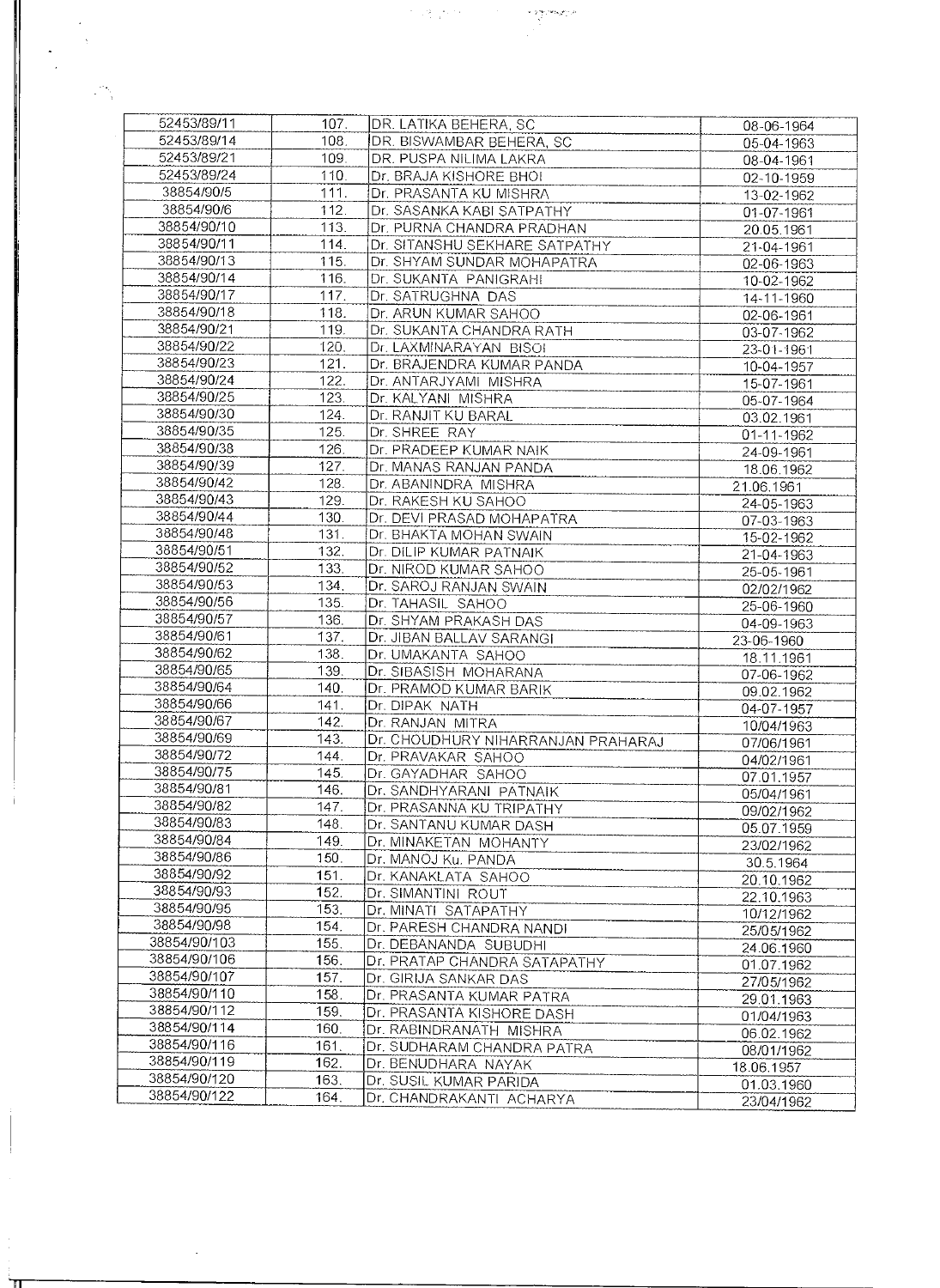| 52453/89/11                  | 107.         | DR. LATIKA BEHERA, SC                              | 08-06-1964 |
|------------------------------|--------------|----------------------------------------------------|------------|
| 52453/89/14                  | 108.         | DR. BISWAMBAR BEHERA, SC                           | 05-04-1963 |
| 52453/89/21                  | 109.         | DR. PUSPA NILIMA LAKRA                             | 08-04-1961 |
| 52453/89/24                  | 110.         | Dr. BRAJA KISHORE BHOI                             | 02-10-1959 |
| 38854/90/5                   | 111.         | Dr. PRASANTA KU MISHRA                             |            |
| 38854/90/6                   | 112.         | Dr. SASANKA KABI SATPATHY                          | 13-02-1962 |
| 38854/90/10                  | 113.         |                                                    | 01-07-1961 |
|                              |              | Dr. PURNA CHANDRA PRADHAN                          | 20.05.1961 |
| 38854/90/11                  | 114.         | Dr. SITANSHU SEKHARE SATPATHY                      | 21-04-1961 |
| 38854/90/13                  | 115.         | Dr. SHYAM SUNDAR MOHAPATRA                         | 02-06-1963 |
| 38854/90/14                  | 116.         | Dr. SUKANTA PANIGRAHI                              | 10-02-1962 |
| 38854/90/17                  | 117.         | Dr. SATRUGHNA DAS                                  | 14-11-1960 |
| 38854/90/18                  | 118.         | Dr. ARUN KUMAR SAHOO                               | 02-06-1961 |
| 38854/90/21                  | 119.         | Dr. SUKANTA CHANDRA RATH                           | 03-07-1962 |
| 38854/90/22                  | 120.         | Dr. LAXMINARAYAN BISOI                             | 23-01-1961 |
| 38854/90/23                  | 121.         | Dr. BRAJENDRA KUMAR PANDA                          | 10-04-1957 |
| 38854/90/24                  | 122.         | Dr. ANTARJYAMI MISHRA                              | 15-07-1961 |
| 38854/90/25                  | 123.         | Dr. KALYANI MISHRA                                 | 05-07-1964 |
| 38854/90/30                  | 124.         | Dr. RANJIT KU BARAL                                | 03.02.1961 |
| 38854/90/35                  | 125.         | Dr. SHREE RAY                                      | 01-11-1962 |
| 38854/90/38                  | 126.         | Dr. PRADEEP KUMAR NAIK                             | 24-09-1961 |
| 38854/90/39                  | 127.         | Dr. MANAS RANJAN PANDA                             | 18.06.1962 |
| 38854/90/42                  | 128.         | Dr. ABANINDRA MISHRA                               | 21.06.1961 |
| 38854/90/43                  | 129.         | Dr. RAKESH KU SAHOO                                |            |
| 38854/90/44                  | 130.         | Dr. DEVI PRASAD MOHAPATRA                          | 24-05-1963 |
| 38854/90/48                  | 131.         |                                                    | 07-03-1963 |
| 38854/90/51                  | 132.         | Dr. BHAKTA MOHAN SWAIN                             | 15-02-1962 |
| 38854/90/52                  |              | Dr. DILIP KUMAR PATNAIK                            | 21-04-1963 |
|                              | 133.         | Dr. NIROD KUMAR SAHOO                              | 25-05-1961 |
| 38854/90/53                  | 134.         | Dr. SAROJ RANJAN SWAIN                             | 02/02/1962 |
| 38854/90/56                  | 135.         | Dr. TAHASIL SAHOO                                  | 25-06-1960 |
| 38854/90/57                  | 136.         | Dr. SHYAM PRAKASH DAS                              | 04-09-1963 |
| 38854/90/61                  | 137.         | Dr. JIBAN BALLAV SARANGI                           | 23-06-1960 |
| 38854/90/62                  | 138.         | Dr. UMAKANTA SAHOO                                 | 18.11.1961 |
| 38854/90/65                  | 139.         | Dr. SIBASISH MOHARANA                              | 07-06-1962 |
| 38854/90/64                  | 140.         | Dr. PRAMOD KUMAR BARIK                             | 09.02.1962 |
| 38854/90/66                  | 141.         | Dr. DIPAK NATH                                     | 04-07-1957 |
| 38854/90/67                  | 142.         | Dr. RANJAN MITRA                                   | 10/04/1963 |
| 38854/90/69                  | 143.         | Dr. CHOUDHURY NIHARRANJAN PRAHARAJ                 | 07/06/1961 |
| 38854/90/72                  | 144.         | Dr. PRAVAKAR SAHOO                                 | 04/02/1961 |
| 38854/90/75                  | 145.         | Dr. GAYADHAR SAHOO                                 | 07.01.1957 |
| 38854/90/81                  | 146.         | Dr. SANDHYARANI PATNAIK                            | 05/04/1961 |
| 38854/90/82                  | 147.         | Dr. PRASANNA KU TRIPATHY                           | 09/02/1962 |
| 38854/90/83                  | 148.         | Dr. SANTANU KUMAR DASH                             | 05.07.1959 |
| 38854/90/84                  | 149.         | Dr. MINAKETAN MOHANTY                              | 23/02/1962 |
| 38854/90/86                  | 150.         | Dr. MANOJ Ku. PANDA                                | 30.5.1964  |
| 38854/90/92                  | 151.         | Dr. KANAKLATA SAHOO                                | 20.10.1962 |
| 38854/90/93                  | 152.         | Dr. SIMANTINI ROUT                                 | 22.10.1963 |
| 38854/90/95                  | 153.         | Dr. MINATI SATAPATHY                               |            |
| 38854/90/98                  | 154.         | Dr. PARESH CHANDRA NANDI                           | 10/12/1962 |
| 38854/90/103                 | 155.         | Dr. DEBANANDA SUBUDHI                              | 25/05/1962 |
| 38854/90/106                 | 156.         | Dr. PRATAP CHANDRA SATAPATHY                       | 24.06.1960 |
| 38854/90/107                 | 157.         |                                                    | 01.07.1962 |
| 38854/90/110                 | 158.         | Dr. GIRIJA SANKAR DAS                              | 27/05/1962 |
| 38854/90/112                 |              | Dr. PRASANTA KUMAR PATRA                           | 29.01.1963 |
|                              | 159.         | Dr. PRASANTA KISHORE DASH                          | 01/04/1963 |
| 38854/90/114                 | 160.         | Dr. RABINDRANATH MISHRA                            | 06.02.1962 |
| 38854/90/116                 | 161.         | Dr. SUDHARAM CHANDRA PATRA                         | 08/01/1962 |
| 38854/90/119                 |              |                                                    |            |
|                              | 162.         | Dr. BENUDHARA NAYAK                                | 18.06.1957 |
| 38854/90/120<br>38854/90/122 | 163.<br>164. | Dr. SUSIL KUMAR PARIDA<br>Dr. CHANDRAKANTI ACHARYA | 01.03.1960 |

 $\label{eq:3.1} \begin{split} \mathcal{P}^{\text{in}}_{\text{in}}(\mathcal{G}) = \mathcal{P}^{\text{in}}_{\text{in}}(\mathcal{G}) \,, \qquad \qquad \mathcal{P}^{\text{in}}_{\text{in}}(\mathcal{G}) = \mathcal{P}^{\text{in}}_{\text{in}}(\mathcal{G}) \,, \end{split}$ 

H.

 $\mathcal{L}_{\mathcal{A}}$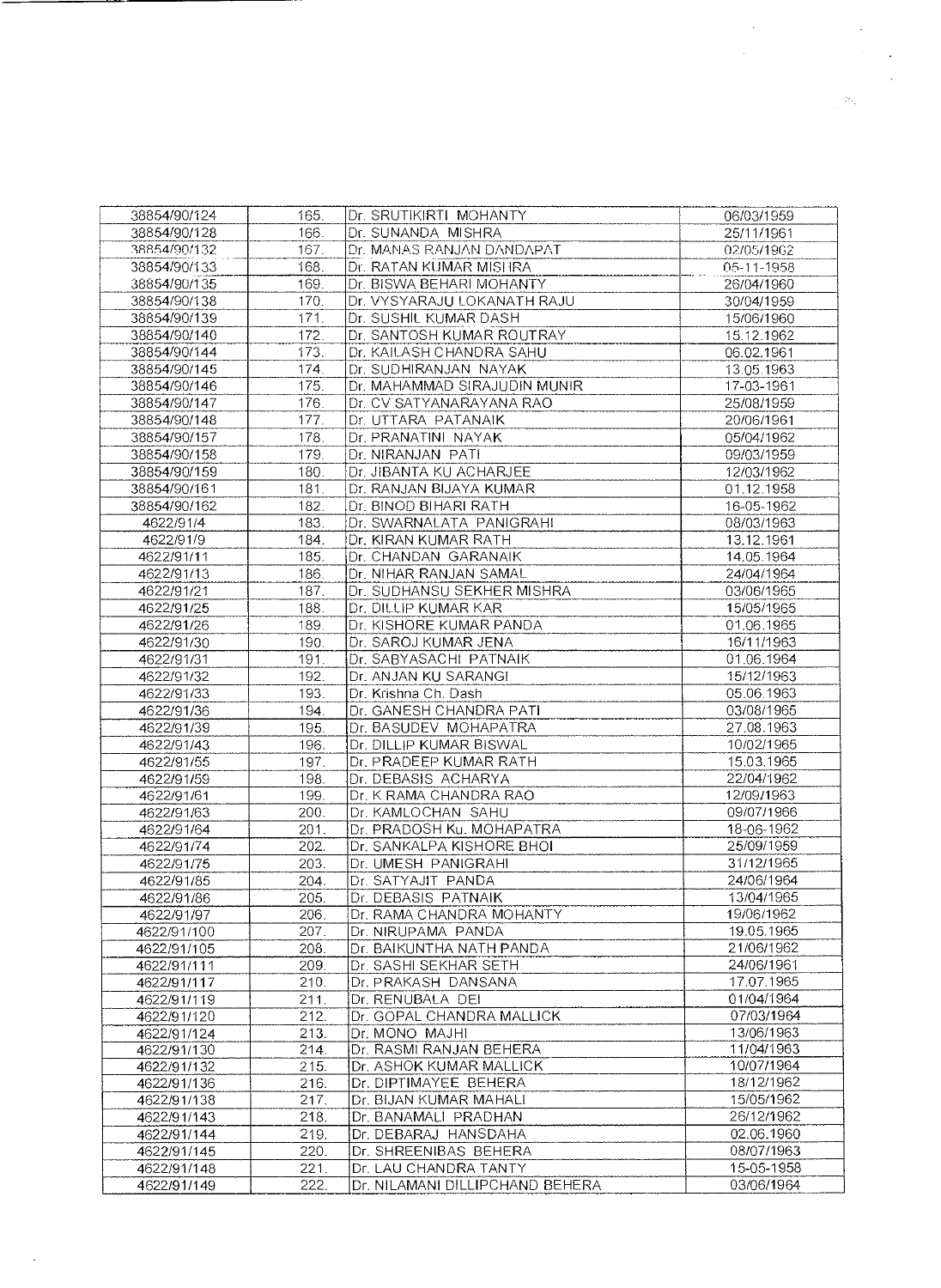| 38854/90/124 | 165. | Dr. SRUTIKIRTI MOHANTY          | 06/03/1959 |
|--------------|------|---------------------------------|------------|
| 38854/90/128 | 166. | Dr. SUNANDA MISHRA              | 25/11/1961 |
| 38854/90/132 | 167. | Dr. MANAS RANJAN DANDAPAT       | 02/05/1962 |
| 38854/90/133 | 168. | Dr. RATAN KUMAR MISHRA          | 05-11-1958 |
| 38854/90/135 | 169. | Dr. BISWA BEHARI MOHANTY        | 26/04/1960 |
| 38854/90/138 | 170. | Dr. VYSYARAJU LOKANATH RAJU     | 30/04/1959 |
| 38854/90/139 | 171. | Dr. SUSHIL KUMAR DASH           | 15/06/1960 |
| 38854/90/140 | 172. | Dr. SANTOSH KUMAR ROUTRAY       | 15.12.1962 |
| 38854/90/144 | 173. | Dr. KAILASH CHANDRA SAHU        | 06.02.1961 |
| 38854/90/145 | 174. | Dr. SUDHIRANJAN NAYAK           | 13.05.1963 |
| 38854/90/146 | 175. | Dr. MAHAMMAD SIRAJUDIN MUNIR    | 17-03-1961 |
| 38854/90/147 | 176. | Dr. CV SATYANARAYANA RAO        | 25/08/1959 |
| 38854/90/148 | 177. | Dr. UTTARA PATANAIK             | 20/06/1961 |
| 38854/90/157 | 178. | Dr. PRANATINI NAYAK             | 05/04/1962 |
| 38854/90/158 | 179. | Dr. NIRANJAN PATI               | 09/03/1959 |
| 38854/90/159 | 180. | Dr. JIBANTA KU ACHARJEE         | 12/03/1962 |
| 38854/90/161 | 181. | Dr. RANJAN BIJAYA KUMAR         | 01.12.1958 |
| 38854/90/162 | 182. | Dr. BINOD BIHARI RATH           | 16-05-1962 |
| 4622/91/4    | 183. | Dr. SWARNALATA PANIGRAHI        | 08/03/1963 |
| 4622/91/9    | 184. | Dr. KIRAN KUMAR RATH            | 13.12.1961 |
| 4622/91/11   | 185. | Dr. CHANDAN GARANAIK            | 14.05.1964 |
| 4622/91/13   | 186. | Dr. NIHAR RANJAN SAMAL          | 24/04/1964 |
| 4622/91/21   | 187. | Dr. SUDHANSU SEKHER MISHRA      | 03/06/1965 |
| 4622/91/25   | 188. | Dr. DILLIP KUMAR KAR            | 15/05/1965 |
| 4622/91/26   | 189. | Dr. KISHORE KUMAR PANDA         | 01.06.1965 |
| 4622/91/30   | 190. | Dr. SAROJ KUMAR JENA            | 16/11/1963 |
| 4622/91/31   | 191. | Dr. SABYASACHI PATNAIK          | 01.06.1964 |
| 4622/91/32   | 192. | Dr. ANJAN KU SARANGI            | 15/12/1963 |
| 4622/91/33   | 193. | Dr. Krishna Ch. Dash            | 05.06.1963 |
| 4622/91/36   | 194. | Dr. GANESH CHANDRA PATI         | 03/08/1965 |
| 4622/91/39   | 195. | Dr. BASUDEV MOHAPATRA           | 27.08.1963 |
| 4622/91/43   | 196. | Dr. DILLIP KUMAR BISWAL         | 10/02/1965 |
| 4622/91/55   | 197. | Dr. PRADEEP KUMAR RATH          | 15.03.1965 |
| 4622/91/59   | 198. | Dr. DEBASIS ACHARYA             | 22/04/1962 |
| 4622/91/61   | 199. | Dr. K RAMA CHANDRA RAO          | 12/09/1963 |
| 4622/91/63   | 200. | Dr. KAMLOCHAN SAHU              | 09/07/1966 |
| 4622/91/64   | 201. | Dr. PRADOSH Ku. MOHAPATRA       | 18-06-1962 |
| 4622/91/74   | 202. | Dr. SANKALPA KISHORE BHOI       | 25/09/1959 |
| 4622/91/75   | 203. | Dr. UMESH PANIGRAHI             | 31/12/1965 |
| 4622/91/85   | 204. | Dr. SATYAJIT PANDA              | 24/06/1964 |
| 4622/91/86   | 205. | Dr. DEBASIS PATNAIK             | 13/04/1965 |
| 4622/91/97   | 206. | Dr. RAMA CHANDRA MOHANTY        | 19/06/1962 |
| 4622/91/100  | 207. | Dr. NIRUPAMA PANDA              | 19.05.1965 |
| 4622/91/105  | 208. | Dr. BAIKUNTHA NATH PANDA        | 21/06/1962 |
| 4622/91/111  | 209. | Dr. SASHI SEKHAR SETH           | 24/06/1961 |
| 4622/91/117  | 210. | Dr. PRAKASH DANSANA             | 17.07.1965 |
| 4622/91/119  | 211. | Dr. RENUBALA DEI                | 01/04/1964 |
| 4622/91/120  | 212. | Dr. GOPAL CHANDRA MALLICK       | 07/03/1964 |
| 4622/91/124  | 213. | Dr. MONO MAJHI                  | 13/06/1963 |
| 4622/91/130  | 214. | Dr. RASMI RANJAN BEHERA         | 11/04/1963 |
| 4622/91/132  | 215. | Dr. ASHOK KUMAR MALLICK         | 10/07/1964 |
| 4622/91/136  | 216. | Dr. DIPTIMAYEE BEHERA           | 18/12/1962 |
| 4622/91/138  | 217. | Dr. BIJAN KUMAR MAHALI          | 15/05/1962 |
| 4622/91/143  | 218. | Dr. BANAMALI PRADHAN            | 26/12/1962 |
| 4622/91/144  | 219. | Dr. DEBARAJ HANSDAHA            | 02.06.1960 |
| 4622/91/145  | 220. | Dr. SHREENIBAS BEHERA           | 08/07/1963 |
| 4622/91/148  | 221. | Dr. LAU CHANDRA TANTY           | 15-05-1958 |
| 4622/91/149  | 222. | Dr. NILAMANI DILLIPCHAND BEHERA | 03/06/1964 |
|              |      |                                 |            |

 $\label{eq:2.1} \frac{1}{\sqrt{2}}\sum_{i=1}^n\frac{1}{\sqrt{2}}\left(\frac{1}{\sqrt{2}}\sum_{i=1}^n\frac{1}{\sqrt{2}}\sum_{i=1}^n\frac{1}{\sqrt{2}}\right)\left(\frac{1}{\sqrt{2}}\sum_{i=1}^n\frac{1}{\sqrt{2}}\sum_{i=1}^n\frac{1}{\sqrt{2}}\right).$ 

 $\frac{1}{2}$  and  $\frac{1}{2}$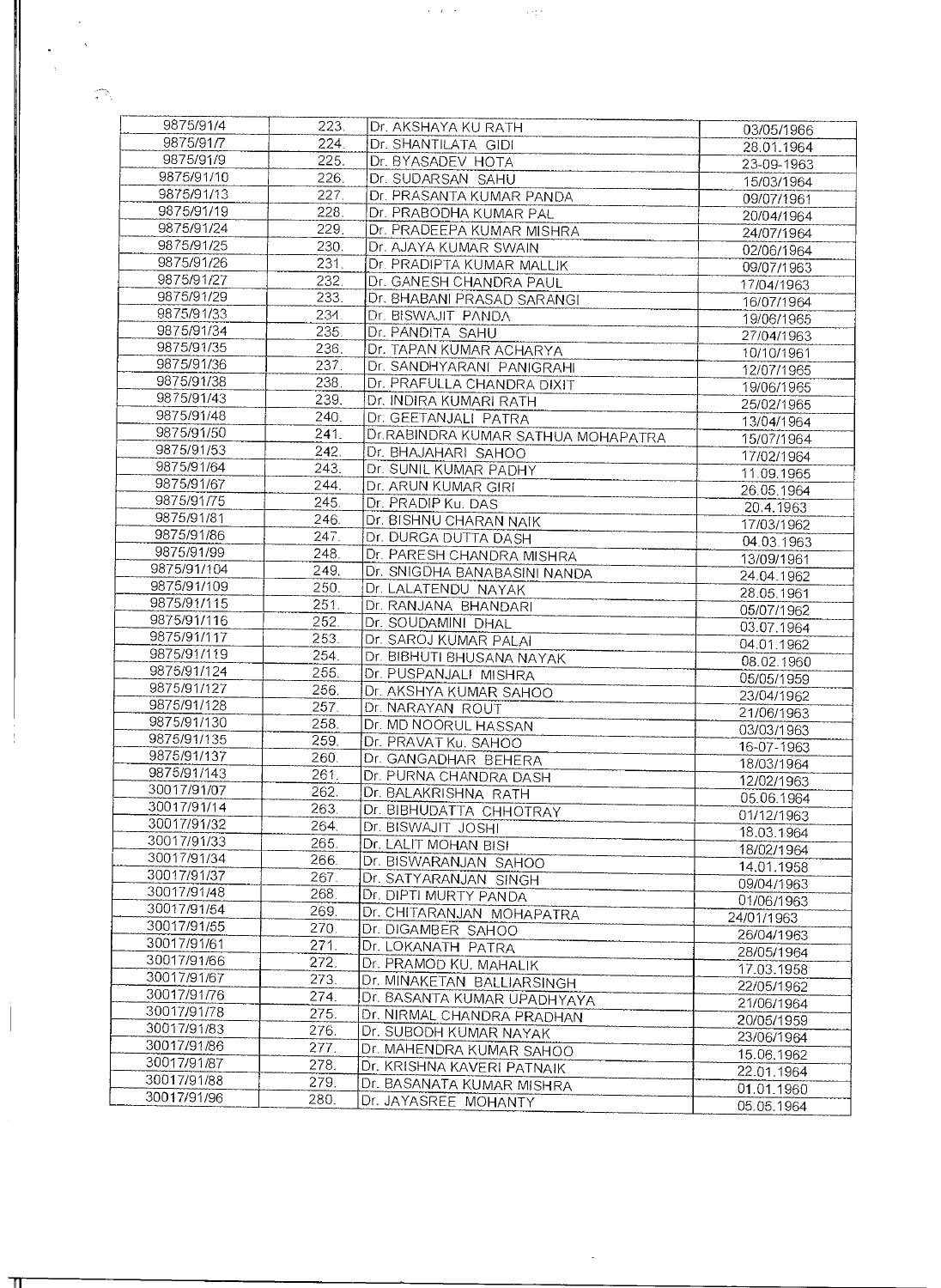| 9875/91/4   | 223. | Dr. AKSHAYA KU RATH                | 03/05/1966 |
|-------------|------|------------------------------------|------------|
| 9875/91/7   | 224. | Dr. SHANTILATA GIDI                | 28.01.1964 |
| 9875/91/9   | 225. | Dr. BYASADEV HOTA                  |            |
| 9875/91/10  | 226. |                                    | 23-09-1963 |
| 9875/91/13  | 227. | Dr. SUDARSAN SAHU                  | 15/03/1964 |
|             |      | Dr. PRASANTA KUMAR PANDA           | 09/07/1961 |
| 9875/91/19  | 228. | Dr. PRABODHA KUMAR PAL             | 20/04/1964 |
| 9875/91/24  | 229. | Dr. PRADEEPA KUMAR MISHRA          | 24/07/1964 |
| 9875/91/25  | 230. | Dr. AJAYA KUMAR SWAIN              | 02/06/1964 |
| 9875/91/26  | 231. | Dr. PRADIPTA KUMAR MALLIK          | 09/07/1963 |
| 9875/91/27  | 232. | Dr. GANESH CHANDRA PAUL            | 17/04/1963 |
| 9875/91/29  | 233. | Dr. BHABANI PRASAD SARANGI         | 16/07/1964 |
| 9875/91/33  | 234. | Dr. BISWAJIT PANDA                 | 19/06/1965 |
| 9875/91/34  | 235. | Dr. PANDITA SAHU                   | 27/04/1963 |
| 9875/91/35  | 236. | Dr. TAPAN KUMAR ACHARYA            | 10/10/1961 |
| 9875/91/36  | 237. | Dr. SANDHYARANI PANIGRAHI          | 12/07/1965 |
| 9875/91/38  | 238. | Dr. PRAFULLA CHANDRA DIXIT         |            |
| 9875/91/43  | 239. | Dr. INDIRA KUMARI RATH             | 19/06/1965 |
| 9875/91/48  | 240. | Dr. GEETANJALI PATRA               | 25/02/1965 |
| 9875/91/50  | 241. |                                    | 13/04/1964 |
| 9875/91/53  |      | Dr.RABINDRA KUMAR SATHUA MOHAPATRA | 15/07/1964 |
|             | 242. | Dr. BHAJAHARI SAHOO                | 17/02/1964 |
| 9875/91/64  | 243. | Dr. SUNIL KUMAR PADHY              | 11.09.1965 |
| 9875/91/67  | 244. | Dr. ARUN KUMAR GIRI                | 26.05.1964 |
| 9875/91/75  | 245. | Dr. PRADIP Ku. DAS                 | 20.4.1963  |
| 9875/91/81  | 246. | Dr. BISHNU CHARAN NAIK             | 17/03/1962 |
| 9875/91/86  | 247. | Dr. DURGA DUTTA DASH               | 04.03.1963 |
| 9875/91/99  | 248. | Dr. PARESH CHANDRA MISHRA          | 13/09/1961 |
| 9875/91/104 | 249. | Dr. SNIGDHA BANABASINI NANDA       | 24.04.1962 |
| 9875/91/109 | 250. | Dr. LALATENDU NAYAK                | 28.05.1961 |
| 9875/91/115 | 251. | Dr. RANJANA BHANDARI               | 05/07/1962 |
| 9875/91/116 | 252. | Dr. SOUDAMINI DHAL                 | 03.07.1964 |
| 9875/91/117 | 253. | Dr. SAROJ KUMAR PALAI              |            |
| 9875/91/119 | 254. | Dr. BIBHUTI BHUSANA NAYAK          | 04.01.1962 |
| 9875/91/124 | 255. | Dr. PUSPANJALI MISHRA              | 08.02.1960 |
| 9875/91/127 | 256. | Dr. AKSHYA KUMAR SAHOO             | 05/05/1959 |
| 9875/91/128 | 257. | Dr. NARAYAN ROUT                   | 23/04/1962 |
| 9875/91/130 | 258. |                                    | 21/06/1963 |
| 9875/91/135 | 259. | Dr. MD NOORUL HASSAN               | 03/03/1963 |
| 9875/91/137 |      | Dr. PRAVAT Ku. SAHOO               | 16-07-1963 |
| 9875/91/143 | 260. | Dr. GANGADHAR BEHERA               | 18/03/1964 |
|             | 261. | Dr. PURNA CHANDRA DASH             | 12/02/1963 |
| 30017/91/07 | 262. | Dr. BALAKRISHNA RATH               | 05.06.1964 |
| 30017/91/14 | 263. | Dr. BIBHUDATTA CHHOTRAY            | 01/12/1963 |
| 30017/91/32 | 264. | Dr. BISWAJIT JOSHI                 | 18.03.1964 |
| 30017/91/33 | 265. | Dr. LALIT MOHAN BISI               | 18/02/1964 |
| 30017/91/34 | 266. | Dr. BISWARANJAN SAHOO              | 14.01.1958 |
| 30017/91/37 | 267. | Dr. SATYARANJAN SINGH              | 09/04/1963 |
| 30017/91/48 | 268. | Dr. DIPTI MURTY PANDA              | 01/06/1963 |
| 30017/91/54 | 269. | Dr. CHITARANJAN MOHAPATRA          | 24/01/1963 |
| 30017/91/55 | 270. | Dr. DIGAMBER SAHOO                 |            |
| 30017/91/61 | 271. | Dr. LOKANATH PATRA                 | 26/04/1963 |
| 30017/91/66 | 272. | Dr. PRAMOD KU. MAHALIK             | 28/05/1964 |
| 30017/91/67 | 273. | Dr. MINAKETAN BALLIARSINGH         | 17.03.1958 |
| 30017/91/76 | 274. | Dr. BASANTA KUMAR UPADHYAYA        | 22/05/1962 |
| 30017/91/78 | 275. | Dr. NIRMAL CHANDRA PRADHAN         | 21/06/1964 |
| 30017/91/83 | 276. | Dr. SUBODH KUMAR NAYAK             | 20/05/1959 |
| 30017/91/86 |      |                                    | 23/06/1964 |
| 30017/91/87 | 277. | Dr. MAHENDRA KUMAR SAHOO           | 15.06.1962 |
| 30017/91/88 | 278. | Dr. KRISHNA KAVERI PATNAIK         | 22.01.1964 |
|             | 279. | Dr. BASANATA KUMAR MISHRA          | 01.01.1960 |
| 30017/91/96 | 280. | Dr. JAYASREE MOHANTY               | 05.05.1964 |

 $\overline{\phantom{a}}$ 

 $\mathcal{O}(\mathcal{O}(\mathcal{O}(\mathcal{O}(\mathcal{O}(\mathcal{O}(\mathcal{O}(\mathcal{O}))))))$  , where

ा

 $\mathcal{L}$  $\mathcal{A}^{\pm}$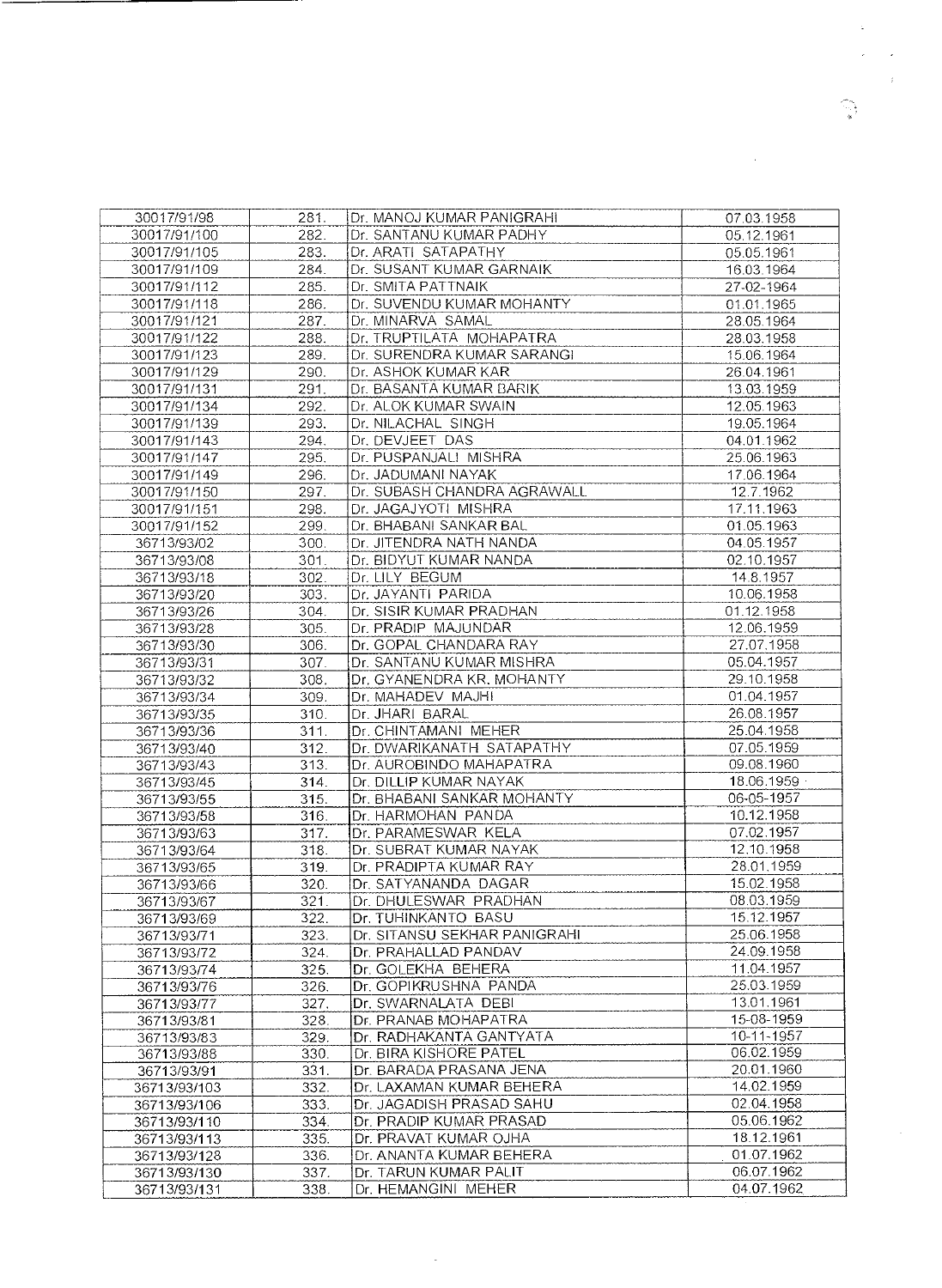| 30017/91/98  | 281. | Dr. MANOJ KUMAR PANIGRAHI    | 07.03.1958 |
|--------------|------|------------------------------|------------|
| 30017/91/100 | 282. | Dr. SANTANU KUMAR PADHY      | 05.12.1961 |
| 30017/91/105 | 283. | Dr. ARATI SATAPATHY          | 05.05.1961 |
| 30017/91/109 | 284. | Dr. SUSANT KUMAR GARNAIK     | 16.03.1964 |
| 30017/91/112 | 285. | Dr. SMITA PATTNAIK           | 27-02-1964 |
| 30017/91/118 | 286. | Dr. SUVENDU KUMAR MOHANTY    | 01.01.1965 |
| 30017/91/121 | 287. | Dr. MINARVA SAMAL            | 28.05.1964 |
| 30017/91/122 | 288. | Dr. TRUPTILATA MOHAPATRA     | 28.03.1958 |
| 30017/91/123 | 289. | Dr. SURENDRA KUMAR SARANGI   | 15.06.1964 |
| 30017/91/129 | 290. | Dr. ASHOK KUMAR KAR          | 26.04.1961 |
| 30017/91/131 | 291. | Dr. BASANTA KUMAR BARIK      | 13.03.1959 |
| 30017/91/134 | 292. | Dr. ALOK KUMAR SWAIN         | 12.05.1963 |
| 30017/91/139 | 293. | Dr. NILACHAL SINGH           | 19.05.1964 |
| 30017/91/143 | 294. | Dr. DEVJEET DAS              | 04.01.1962 |
| 30017/91/147 | 295. | Dr. PUSPANJALI MISHRA        | 25.06.1963 |
| 30017/91/149 | 296. | Dr. JADUMANI NAYAK           | 17.06.1964 |
| 30017/91/150 | 297. | Dr. SUBASH CHANDRA AGRAWALL  | 12.7.1962  |
| 30017/91/151 | 298. | Dr. JAGAJYOTI MISHRA         | 17.11.1963 |
| 30017/91/152 | 299. | Dr. BHABANI SANKAR BAL       | 01.05.1963 |
| 36713/93/02  | 300. | Dr. JITENDRA NATH NANDA      | 04.05.1957 |
| 36713/93/08  | 301. | Dr. BIDYUT KUMAR NANDA       | 02.10.1957 |
| 36713/93/18  | 302. | Dr. LILY BEGUM               | 14.8.1957  |
| 36713/93/20  | 303. | Dr. JAYANTI PARIDA           | 10.06.1958 |
| 36713/93/26  | 304. | Dr. SISIR KUMAR PRADHAN      | 01.12.1958 |
| 36713/93/28  | 305. | Dr. PRADIP MAJUNDAR          | 12.06.1959 |
| 36713/93/30  | 306. | Dr. GOPAL CHANDARA RAY       | 27.07.1958 |
| 36713/93/31  | 307. | Dr. SANTANU KUMAR MISHRA     | 05.04.1957 |
| 36713/93/32  | 308. | Dr. GYANENDRA KR. MOHANTY    | 29.10.1958 |
| 36713/93/34  | 309. | Dr. MAHADEV MAJHI            | 01.04.1957 |
| 36713/93/35  | 310. | Dr. JHARI BARAL              | 26.08.1957 |
| 36713/93/36  | 311. | Dr. CHINTAMANI MEHER         | 25.04.1958 |
| 36713/93/40  | 312. | Dr. DWARIKANATH SATAPATHY    | 07.05.1959 |
| 36713/93/43  | 313. | Dr. AUROBINDO MAHAPATRA      | 09.08.1960 |
| 36713/93/45  | 314. | Dr. DILLIP KUMAR NAYAK       | 18.06.1959 |
| 36713/93/55  | 315. | Dr. BHABANI SANKAR MOHANTY   | 06-05-1957 |
| 36713/93/58  | 316. | Dr. HARMOHAN PANDA           | 10.12.1958 |
| 36713/93/63  | 317. | Dr. PARAMESWAR KELA          | 07.02.1957 |
| 36713/93/64  | 318. | Dr. SUBRAT KUMAR NAYAK       | 12.10.1958 |
| 36713/93/65  | 319. | Dr. PRADIPTA KUMAR RAY       | 28.01.1959 |
| 36713/93/66  | 320. | Dr. SATYANANDA DAGAR         | 15.02.1958 |
| 36713/93/67  | 321. | Dr. DHULESWAR PRADHAN        | 08.03.1959 |
| 36713/93/69  | 322. | Dr. TUHINKANTO BASU          | 15.12.1957 |
| 36713/93/71  | 323. | Dr. SITANSU SEKHAR PANIGRAHI | 25.06.1958 |
| 36713/93/72  | 324. | Dr. PRAHALLAD PANDAV         | 24.09.1958 |
| 36713/93/74  | 325. | Dr. GOLEKHA BEHERA           | 11.04.1957 |
| 36713/93/76  | 326. | Dr. GOPIKRUSHNA PANDA        | 25.03.1959 |
| 36713/93/77  | 327. | Dr. SWARNALATA DEBI          | 13.01.1961 |
| 36713/93/81  | 328. | Dr. PRANAB MOHAPATRA         | 15-08-1959 |
| 36713/93/83  | 329. | Dr. RADHAKANTA GANTYATA      | 10-11-1957 |
| 36713/93/88  | 330. | Dr. BIRA KISHORE PATEL       | 06.02.1959 |
| 36713/93/91  | 331. | Dr. BARADA PRASANA JENA      | 20.01.1960 |
| 36713/93/103 | 332. | Dr. LAXAMAN KUMAR BEHERA     | 14.02.1959 |
| 36713/93/106 | 333. | Dr. JAGADISH PRASAD SAHU     | 02.04.1958 |
| 36713/93/110 | 334. | Dr. PRADIP KUMAR PRASAD      | 05.06.1962 |
| 36713/93/113 | 335. | Dr. PRAVAT KUMAR OJHA        | 18.12.1961 |
| 36713/93/128 | 336. | Dr. ANANTA KUMAR BEHERA      | 01.07.1962 |
| 36713/93/130 | 337. | Dr. TARUN KUMAR PALIT        | 06.07.1962 |
| 36713/93/131 | 338. | Dr. HEMANGINI MEHER          | 04.07.1962 |
|              |      |                              |            |

 $\sim$  $\mathcal{A}$  $\sim$   $\sim$  $\sim$   $\mu$ 

 $\widehat{\mathbb{Z}}_{\frac{1}{2}}^{\mathbb{Z}}$ 

 $\sim 40\,$  km  $^{-1}$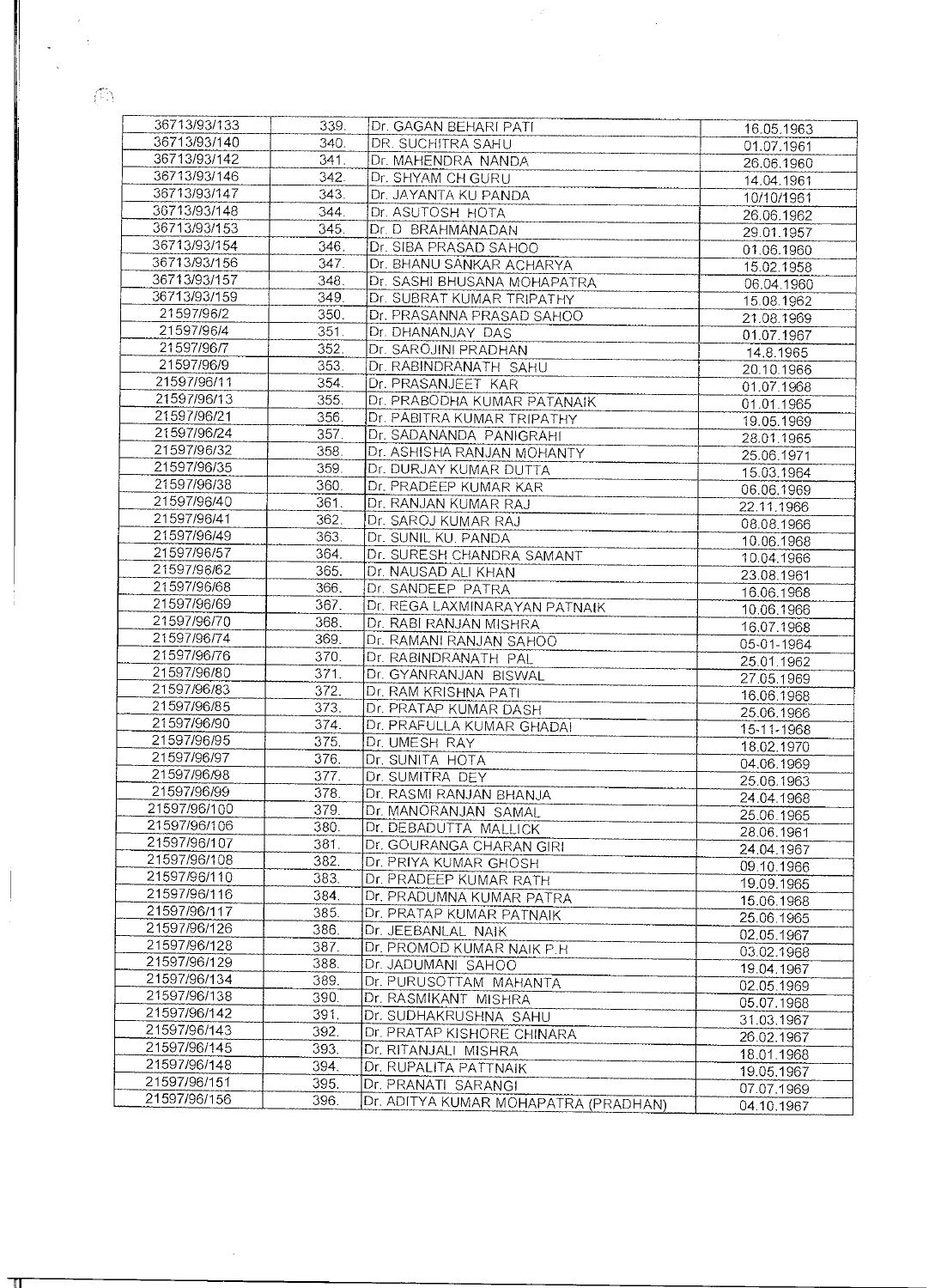$\langle \widehat{C} \rangle$ 

| 36713/93/133                 | 339. | Dr. GAGAN BEHARI PATI                | 16.05.1963 |
|------------------------------|------|--------------------------------------|------------|
| 36713/93/140                 | 340. | DR. SUCHITRA SAHU                    | 01.07.1961 |
| 36713/93/142                 | 341. | Dr. MAHENDRA NANDA                   | 26.06.1960 |
| 36713/93/146                 | 342. | Dr. SHYAM CH GURU                    | 14.04.1961 |
| 36713/93/147                 | 343. | Dr. JAYANTA KU PANDA                 | 10/10/1961 |
| 36713/93/148                 | 344. | Dr. ASUTOSH HOTA                     |            |
| 36713/93/153                 |      |                                      | 26.06.1962 |
|                              | 345. | Dr. D BRAHMANADAN                    | 29.01.1957 |
| 36713/93/154                 | 346. | Dr. SIBA PRASAD SAHOO                | 01.06.1960 |
| 36713/93/156                 | 347. | Dr. BHANU SANKAR ACHARYA             | 15.02.1958 |
| 36713/93/157                 | 348. | Dr. SASHI BHUSANA MOHAPATRA          | 06.04.1960 |
| 36713/93/159                 | 349. | Dr. SUBRAT KUMAR TRIPATHY            | 15.08.1962 |
| 21597/96/2                   | 350. | Dr. PRASANNA PRASAD SAHOO            | 21.08.1969 |
| 21597/96/4                   | 351. | Dr. DHANANJAY DAS                    |            |
| 21597/96/7                   | 352. |                                      | 01.07.1967 |
|                              |      | Dr. SAROJINI PRADHAN                 | 14.8.1965  |
| 21597/96/9                   | 353. | Dr. RABINDRANATH SAHU                | 20.10.1966 |
| 21597/96/11                  | 354. | Dr. PRASANJEET KAR                   | 01.07.1968 |
| 21597/96/13                  | 355. | Dr. PRABODHA KUMAR PATANAIK          | 01.01.1965 |
| 21597/96/21                  | 356. | Dr. PABITRA KUMAR TRIPATHY           | 19.05.1969 |
| 21597/96/24                  | 357. | Dr. SADANANDA PANIGRAHI              | 28.01.1965 |
| 21597/96/32                  | 358. | Dr. ASHISHA RANJAN MOHANTY           |            |
| 21597/96/35                  | 359. | Dr. DURJAY KUMAR DUTTA               | 25.06.1971 |
| 21597/96/38                  | 360. |                                      | 15.03.1964 |
|                              |      | Dr. PRADEEP KUMAR KAR                | 06.06.1969 |
| 21597/96/40                  | 361. | Dr. RANJAN KUMAR RAJ                 | 22.11.1966 |
| 21597/96/41                  | 362. | Dr. SAROJ KUMAR RAJ                  | 08.08.1966 |
| 21597/96/49                  | 363. | Dr. SUNIL KU. PANDA                  | 10.06.1968 |
| 21597/96/57                  | 364. | Dr. SURESH CHANDRA SAMANT            | 10.04.1966 |
| 21597/96/62                  | 365. | Dr. NAUSAD ALI KHAN                  | 23.08.1961 |
| 21597/96/68                  | 366. | Dr. SANDEEP PATRA                    |            |
| 21597/96/69                  | 367. | Dr. REGA LAXMINARAYAN PATNAIK        | 16.06.1968 |
| 21597/96/70                  |      |                                      | 10.06.1966 |
|                              | 368. | Dr. RABI RANJAN MISHRA               | 16.07.1968 |
| 21597/96/74                  | 369. | Dr. RAMANI RANJAN SAHOO              | 05-01-1964 |
| 21597/96/76                  | 370. | Dr. RABINDRANATH PAL                 | 25.01.1962 |
| 21597/96/80                  | 371. | Dr. GYANRANJAN BISWAL                | 27.05.1969 |
| 21597/96/83                  | 372. | Dr. RAM KRISHNA PATI                 | 16.06.1968 |
| 21597/96/85                  | 373. | Dr. PRATAP KUMAR DASH                | 25.06.1966 |
| 21597/96/90                  | 374. | Dr. PRAFULLA KUMAR GHADAI            |            |
| 21597/96/95                  | 375. | Dr. UMESH RAY                        | 15-11-1968 |
| 21597/96/97                  | 376. |                                      | 18.02.1970 |
| 21597/96/98                  |      | Dr. SUNITA HOTA                      | 04.06.1969 |
|                              | 377. | Dr. SUMITRA DEY                      | 25.06.1963 |
| 21597/96/99                  | 378. | Dr. RASMI RANJAN BHANJA              | 24.04.1968 |
| 21597/96/100                 | 379. | Dr. MANORANJAN SAMAL                 | 25.06.1965 |
| 21597/96/106                 | 380. | Dr. DEBADUTTA MALLICK                | 28.06.1961 |
| 21597/96/107                 | 381. | Dr. GOURANGA CHARAN GIRI             | 24.04.1967 |
| 21597/96/108                 | 382. | Dr. PRIYA KUMAR GHOSH                | 09.10.1966 |
| 21597/96/110                 | 383. | Dr. PRADEEP KUMAR RATH               |            |
| 21597/96/116                 | 384. |                                      | 19.09.1965 |
| 21597/96/117                 |      | Dr. PRADUMNA KUMAR PATRA             | 15.06.1968 |
|                              | 385. | Dr. PRATAP KUMAR PATNAIK             | 25.06.1965 |
| 21597/96/126                 | 386. | Dr. JEEBANLAL NAIK                   | 02.05.1967 |
| 21597/96/128                 | 387. | Dr. PROMOD KUMAR NAIK P.H            | 03.02.1968 |
| 21597/96/129                 | 388. | Dr. JADUMANI SAHOO                   | 19.04.1967 |
| 21597/96/134                 | 389. | Dr. PURUSOTTAM MAHANTA               | 02.05.1969 |
| 21597/96/138                 | 390. | Dr. RASMIKANT MISHRA                 | 05.07.1968 |
| 21597/96/142                 | 391. | Dr. SUDHAKRUSHNA SAHU                |            |
| 21597/96/143                 | 392. | Dr. PRATAP KISHORE CHINARA           | 31.03.1967 |
| 21597/96/145                 | 393. |                                      | 26.02.1967 |
|                              |      | Dr. RITANJALI MISHRA                 | 18.01.1968 |
| 21597/96/148                 | 394. | Dr. RUPALITA PATTNAIK                | 19.05.1967 |
| 21597/96/151<br>21597/96/156 | 395. | Dr. PRANATI SARANGI                  | 07.07.1969 |
|                              | 396. | Dr. ADITYA KUMAR MOHAPATRA (PRADHAN) | 04.10.1967 |

 $\mathbb T$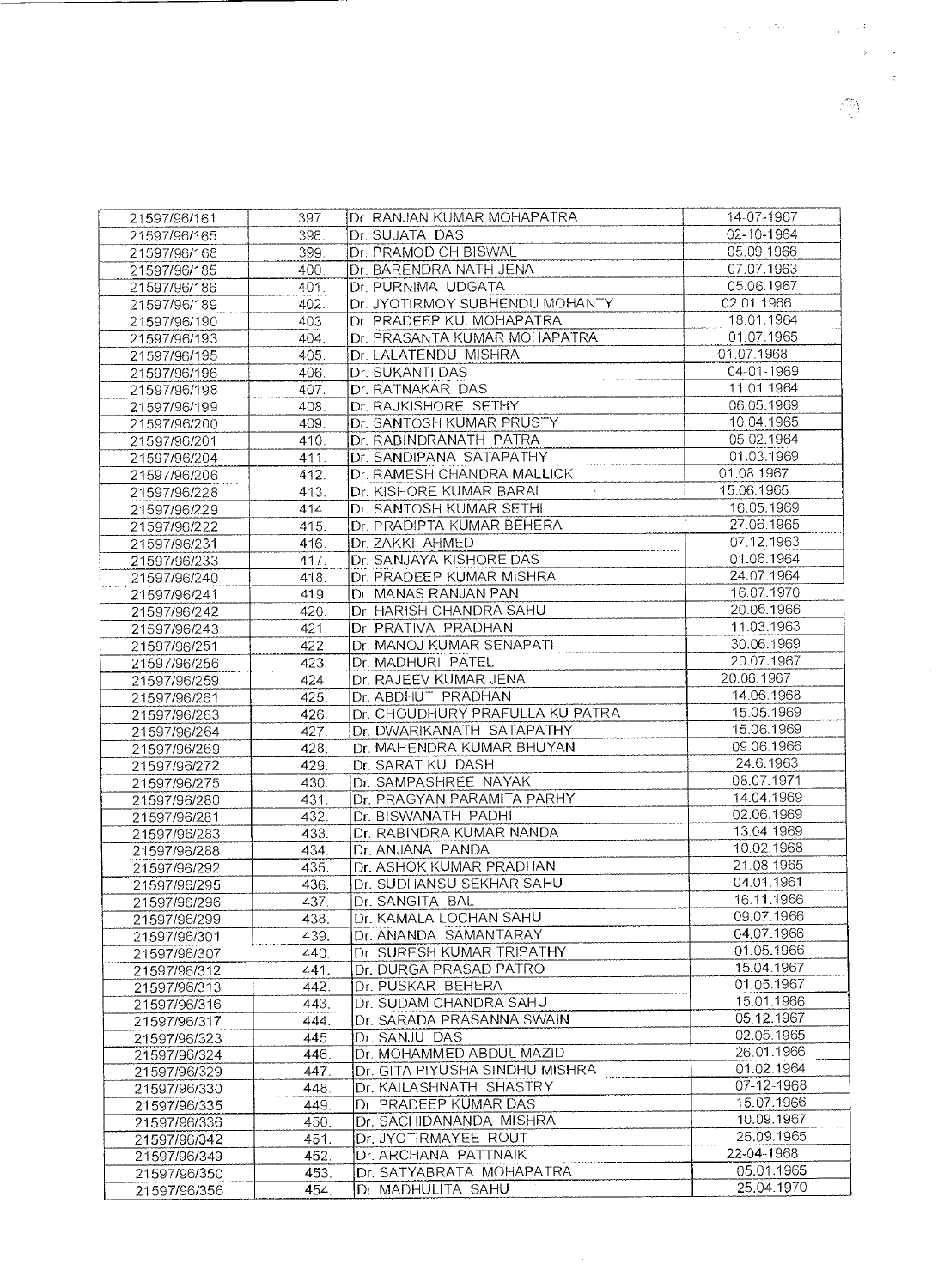| 21597/96/161 | 397. | Dr. RANJAN KUMAR MOHAPATRA                          | 14-07-1967 |
|--------------|------|-----------------------------------------------------|------------|
| 21597/96/165 | 398. | Dr. SUJATA DAS                                      | 02-10-1964 |
| 21597/96/168 | 399. | Dr. PRAMOD CH BISWAL                                | 05.09.1966 |
| 21597/96/185 | 400. | Dr. BARENDRA NATH JENA                              | 07.07.1963 |
| 21597/96/186 | 401. | Dr. PURNIMA UDGATA                                  | 05.06.1967 |
| 21597/96/189 | 402. | Dr. JYOTIRMOY SUBHENDU MOHANTY                      | 02.01.1966 |
| 21597/96/190 | 403. | Dr. PRADEEP KU. MOHAPATRA                           | 18.01.1964 |
| 21597/96/193 | 404. | Dr. PRASANTA KUMAR MOHAPATRA                        | 01.07.1965 |
| 21597/96/195 | 405. | Dr. LALATENDU MISHRA                                | 01.07.1968 |
| 21597/96/196 | 406. | Dr. SUKANTI DAS                                     | 04-01-1969 |
| 21597/96/198 | 407. | Dr. RATNAKAR DAS                                    | 11.01.1964 |
| 21597/96/199 | 408. | Dr. RAJKISHORE SETHY                                | 06.05.1969 |
| 21597/96/200 | 409. | Dr. SANTOSH KUMAR PRUSTY                            | 10.04.1965 |
| 21597/96/201 | 410. | Dr. RABINDRANATH PATRA                              | 05.02.1964 |
| 21597/96/204 | 411. | Dr. SANDIPANA SATAPATHY                             | 01.03.1969 |
| 21597/96/206 | 412. | Dr. RAMESH CHANDRA MALLICK                          | 01.08.1967 |
| 21597/96/228 | 413. | Dr. KISHORE KUMAR BARAI                             | 15.06.1965 |
| 21597/96/229 | 414. | Dr. SANTOSH KUMAR SETHI                             | 16.05.1969 |
|              |      | Dr. PRADIPTA KUMAR BEHERA                           | 27.06.1965 |
| 21597/96/222 | 415. | Dr. ZAKKI AHMED                                     | 07.12.1963 |
| 21597/96/231 | 416. |                                                     | 01.06.1964 |
| 21597/96/233 | 417. | Dr. SANJAYA KISHORE DAS<br>Dr. PRADEEP KUMAR MISHRA | 24.07.1964 |
| 21597/96/240 | 418. |                                                     | 16.07.1970 |
| 21597/96/241 | 419. | Dr. MANAS RANJAN PANI                               | 20.06.1966 |
| 21597/96/242 | 420. | Dr. HARISH CHANDRA SAHU                             |            |
| 21597/96/243 | 421. | Dr. PRATIVA PRADHAN                                 | 11.03.1963 |
| 21597/96/251 | 422. | Dr. MANOJ KUMAR SENAPATI                            | 30.06.1969 |
| 21597/96/256 | 423. | Dr. MADHURI PATEL                                   | 20.07.1967 |
| 21597/96/259 | 424. | Dr. RAJEEV KUMAR JENA                               | 20.06.1967 |
| 21597/96/261 | 425. | Dr. ABDHUT PRADHAN                                  | 14.06.1968 |
| 21597/96/263 | 426. | Dr. CHOUDHURY PRAFULLA KU PATRA                     | 15.05.1969 |
| 21597/96/264 | 427. | Dr. DWARIKANATH SATAPATHY                           | 15.06.1969 |
| 21597/96/269 | 428. | Dr. MAHENDRA KUMAR BHUYAN                           | 09.06.1966 |
| 21597/96/272 | 429. | Dr. SARAT KU. DASH                                  | 24.6.1963  |
| 21597/96/275 | 430. | Dr. SAMPASHREE NAYAK                                | 08.07.1971 |
| 21597/96/280 | 431. | Dr. PRAGYAN PARAMITA PARHY                          | 14.04.1969 |
| 21597/96/281 | 432. | Dr. BISWANATH PADHI                                 | 02.06.1969 |
| 21597/96/283 | 433. | Dr. RABINDRA KUMAR NANDA                            | 13.04.1969 |
| 21597/96/288 | 434. | Dr. ANJANA PANDA                                    | 10.02.1968 |
| 21597/96/292 | 435. | Dr. ASHOK KUMAR PRADHAN                             | 21.08.1965 |
| 21597/96/295 | 436. | Dr. SUDHANSU SEKHAR SAHU                            | 04.01.1961 |
| 21597/96/296 | 437. | Dr. SANGITA BAL                                     | 16.11.1966 |
| 21597/96/299 | 438. | Dr. KAMALA LOCHAN SAHU                              | 09.07.1966 |
| 21597/96/301 | 439. | Dr. ANANDA SAMANTARAY                               | 04.07.1966 |
| 21597/96/307 | 440. | Dr. SURESH KUMAR TRIPATHY                           | 01.05.1966 |
| 21597/96/312 | 441. | Dr. DURGA PRASAD PATRO                              | 15.04.1967 |
| 21597/96/313 | 442. | Dr. PUSKAR BEHERA                                   | 01.05.1967 |
| 21597/96/316 | 443. | Dr. SUDAM CHANDRA SAHU                              | 15.01.1966 |
| 21597/96/317 | 444. | Dr. SARADA PRASANNA SWAIN                           | 05.12.1967 |
| 21597/96/323 | 445. | Dr. SANJU DAS                                       | 02.05.1965 |
| 21597/96/324 | 446. | Dr. MOHAMMED ABDUL MAZID                            | 26.01.1966 |
| 21597/96/329 | 447. | Dr. GITA PIYUSHA SINDHU MISHRA                      | 01.02.1964 |
| 21597/96/330 | 448. | Dr. KAILASHNATH SHASTRY                             | 07-12-1968 |
| 21597/96/335 | 449. | Dr. PRADEEP KUMAR DAS                               | 15.07.1966 |
| 21597/96/336 | 450. | Dr. SACHIDANANDA MISHRA                             | 10.09.1967 |
| 21597/96/342 | 451. | Dr. JYOTIRMAYEE ROUT                                | 25.09.1965 |
| 21597/96/349 | 452. | Dr. ARCHANA PATTNAIK                                | 22-04-1968 |
| 21597/96/350 | 453. | Dr. SATYABRATA MOHAPATRA                            | 05.01.1965 |
| 21597/96/356 | 454. | Dr. MADHULITA SAHU                                  | 25.04.1970 |

 $\mathcal{A}^{\mathcal{A}}$ 

 $\label{eq:2.1} \mathcal{L}(\mathcal{L}^{\text{max}}_{\mathcal{L}}(\mathcal{L}^{\text{max}}_{\mathcal{L}})) \leq \mathcal{L}(\mathcal{L}^{\text{max}}_{\mathcal{L}}(\mathcal{L}^{\text{max}}_{\mathcal{L}}))$ 

 $\mathbf{v}$  $\rightarrow$  $\bar{\tau}$ 

 $\label{eq:2} \frac{1}{2}\sum_{\substack{m=1\\m\neq m}}\frac{1}{m}\sum_{\substack{m=1\\m\neq m}}\frac{1}{m}\sum_{\substack{m=1\\m\neq m}}\frac{1}{m}\sum_{\substack{m=1\\m\neq m}}\frac{1}{m}\sum_{\substack{m=1\\m\neq m}}\frac{1}{m}\sum_{\substack{m=1\\m\neq m}}\frac{1}{m}\sum_{\substack{m=1\\m\neq m}}\frac{1}{m}\sum_{\substack{m=1\\m\neq m}}\frac{1}{m}\sum_{\substack{m=1\\m\neq m}}\frac{1}{m$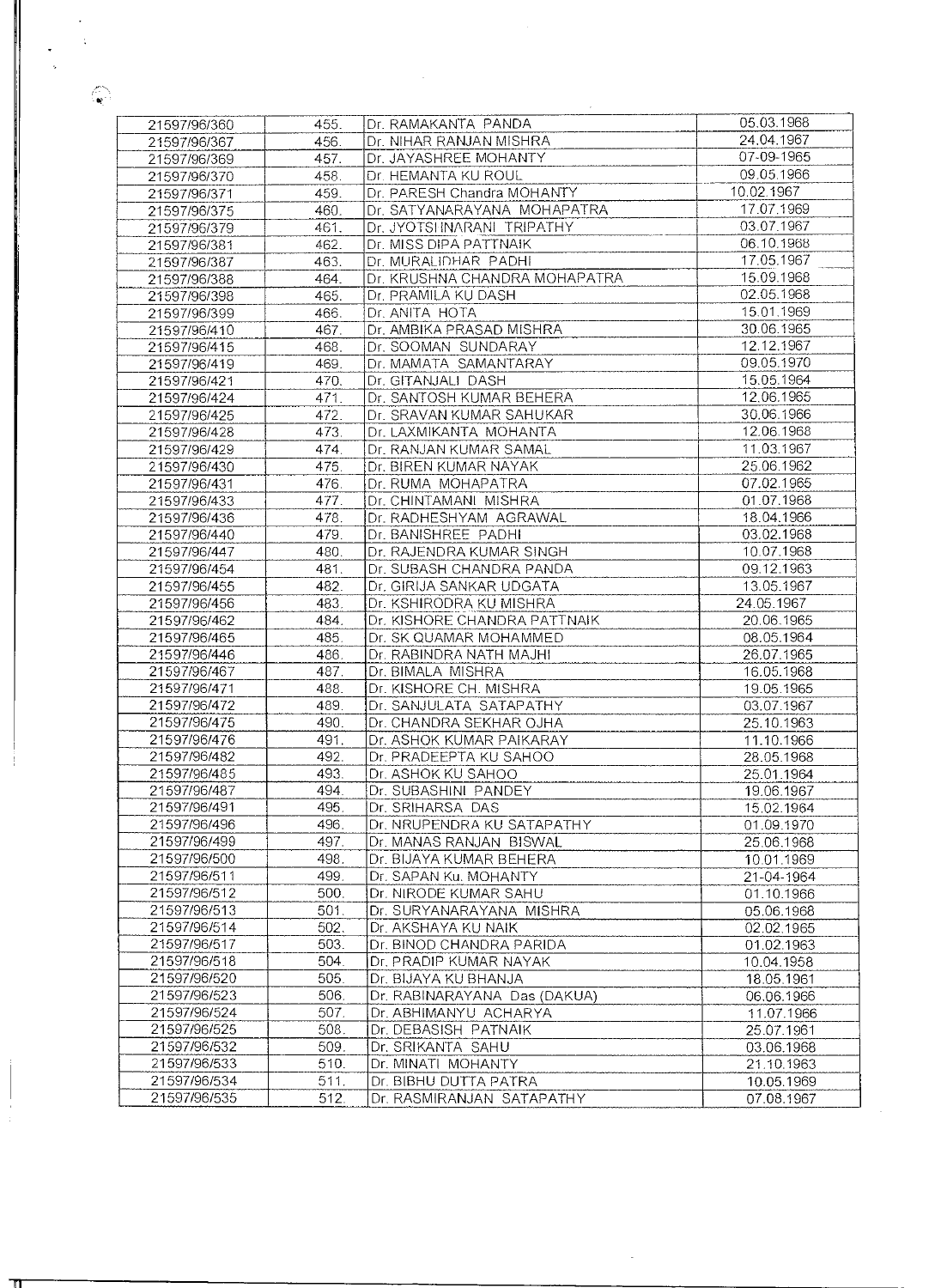| 21597/96/360                 | 455.         | Dr. RAMAKANTA PANDA                                | 05.03.1968 |
|------------------------------|--------------|----------------------------------------------------|------------|
| 21597/96/367                 | 456.         | Dr. NIHAR RANJAN MISHRA                            | 24.04.1967 |
| 21597/96/369                 | 457.         | Dr. JAYASHREE MOHANTY                              | 07-09-1965 |
| 21597/96/370                 | 458.         | Dr. HEMANTA KU ROUL                                | 09.05.1966 |
| 21597/96/371                 | 459.         | Dr. PARESH Chandra MOHANTY                         | 10.02.1967 |
| 21597/96/375                 | 460.         | Dr. SATYANARAYANA MOHAPATRA                        | 17.07.1969 |
| 21597/96/379                 | 461.         | Dr. JYOTSHNARANI TRIPATHY                          | 03.07.1967 |
| 21597/96/381                 | 462.         | Dr. MISS DIPA PATTNAIK                             | 06.10.1968 |
| 21597/96/387                 | 463.         | Dr. MURALIDHAR PADHI                               | 17.05.1967 |
| 21597/96/388                 | 464.         | Dr. KRUSHNA CHANDRA MOHAPATRA                      | 15.09.1968 |
| 21597/96/398                 | 465.         | Dr. PRAMILA KU DASH                                | 02.05.1968 |
| 21597/96/399                 | 466.         | Dr. ANITA HOTA                                     | 15.01.1969 |
| 21597/96/410                 | 467.         | Dr. AMBIKA PRASAD MISHRA                           | 30.06.1965 |
| 21597/96/415                 | 468.         | Dr. SOOMAN SUNDARAY                                | 12.12.1967 |
| 21597/96/419                 | 469.         | Dr. MAMATA SAMANTARAY                              | 09.05.1970 |
| 21597/96/421                 | 470.         | Dr. GITANJALI DASH                                 | 15.05.1964 |
|                              | 471.         | Dr. SANTOSH KUMAR BEHERA                           | 12.06.1965 |
| 21597/96/424<br>21597/96/425 |              |                                                    | 30.06.1966 |
|                              | 472.<br>473. | Dr. SRAVAN KUMAR SAHUKAR<br>Dr. LAXMIKANTA MOHANTA | 12.06.1968 |
| 21597/96/428                 |              |                                                    | 11.03.1967 |
| 21597/96/429                 | 474.         | Dr. RANJAN KUMAR SAMAL                             | 25.06.1962 |
| 21597/96/430                 | 475.         | Dr. BIREN KUMAR NAYAK                              | 07.02.1965 |
| 21597/96/431                 | 476.         | Dr. RUMA MOHAPATRA                                 |            |
| 21597/96/433                 | 477.         | Dr. CHINTAMANI MISHRA                              | 01.07.1968 |
| 21597/96/436                 | 478.         | Dr. RADHESHYAM AGRAWAL                             | 18.04.1966 |
| 21597/96/440                 | 479.         | Dr. BANISHREE PADHI                                | 03.02.1968 |
| 21597/96/447                 | 480.         | Dr. RAJENDRA KUMAR SINGH                           | 10.07.1968 |
| 21597/96/454                 | 481.         | Dr. SUBASH CHANDRA PANDA                           | 09.12.1963 |
| 21597/96/455                 | 482.         | Dr. GIRIJA SANKAR UDGATA                           | 13.05.1967 |
| 21597/96/456                 | 483.         | Dr. KSHIRODRA KU MISHRA                            | 24.05.1967 |
| 21597/96/462                 | 484.         | Dr. KISHORE CHANDRA PATTNAIK                       | 20.06.1965 |
| 21597/96/465                 | 485.         | Dr. SK QUAMAR MOHAMMED                             | 08.05.1964 |
| 21597/96/446                 | 486.         | Dr. RABINDRA NATH MAJHI                            | 26.07.1965 |
| 21597/96/467                 | 487.         | Dr. BIMALA MISHRA                                  | 16.05.1968 |
| 21597/96/471                 | 488.         | Dr. KISHORE CH. MISHRA                             | 19.05.1965 |
| 21597/96/472                 | 489.         | Dr. SANJULATA SATAPATHY                            | 03.07.1967 |
| 21597/96/475                 | 490.         | Dr. CHANDRA SEKHAR OJHA                            | 25.10.1963 |
| 21597/96/476                 | 491.         | Dr. ASHOK KUMAR PAIKARAY                           | 11.10.1966 |
| 21597/96/482                 | 492.         | Dr. PRADEEPTA KU SAHOO                             | 28.05.1968 |
| 21597/96/485                 | 493.         | Dr. ASHOK KU SAHOO                                 | 25.01.1964 |
| 21597/96/487                 | 494.         | Dr. SUBASHINI PANDEY                               | 19.06.1967 |
| 21597/96/491                 | 495.         | Dr. SRIHARSA DAS                                   | 15.02.1964 |
| 21597/96/496                 | 496.         | Dr. NRUPENDRA KU SATAPATHY                         | 01.09.1970 |
| 21597/96/499                 | 497.         | Dr. MANAS RANJAN BISWAL                            | 25.06.1968 |
| 21597/96/500                 | 498.         | Dr. BIJAYA KUMAR BEHERA                            | 10.01.1969 |
| 21597/96/511                 | 499.         | Dr. SAPAN Ku. MOHANTY                              | 21-04-1964 |
| 21597/96/512                 | 500.         | Dr. NIRODE KUMAR SAHU                              | 01.10.1966 |
| 21597/96/513                 | 501.         | Dr. SURYANARAYANA MISHRA                           | 05.06.1968 |
| 21597/96/514                 | 502.         | Dr. AKSHAYA KU NAIK                                | 02.02.1965 |
| 21597/96/517                 | 503.         | Dr. BINOD CHANDRA PARIDA                           | 01.02.1963 |
| 21597/96/518                 | 504.         | Dr. PRADIP KUMAR NAYAK                             | 10.04.1958 |
| 21597/96/520                 | 505.         | Dr. BIJAYA KU BHANJA                               | 18.05.1961 |
| 21597/96/523                 | 506.         | Dr. RABINARAYANA Das (DAKUA)                       | 06.06.1966 |
| 21597/96/524                 | 507.         | Dr. ABHIMANYU ACHARYA                              | 11.07.1966 |
| 21597/96/525                 | 508.         | Dr. DEBASISH PATNAIK                               | 25.07.1961 |
| 21597/96/532                 | 509.         | Dr. SRIKANTA SAHU                                  | 03.06.1968 |
| 21597/96/533                 | 510.         | Dr. MINATI MOHANTY                                 | 21.10.1963 |
| 21597/96/534                 | 511.         | Dr. BIBHU DUTTA PATRA                              | 10.05.1969 |
| 21597/96/535                 | 512.         | Dr. RASMIRANJAN SATAPATHY                          | 07.08.1967 |
|                              |              |                                                    |            |

 $\bigoplus_{i=1}^n$